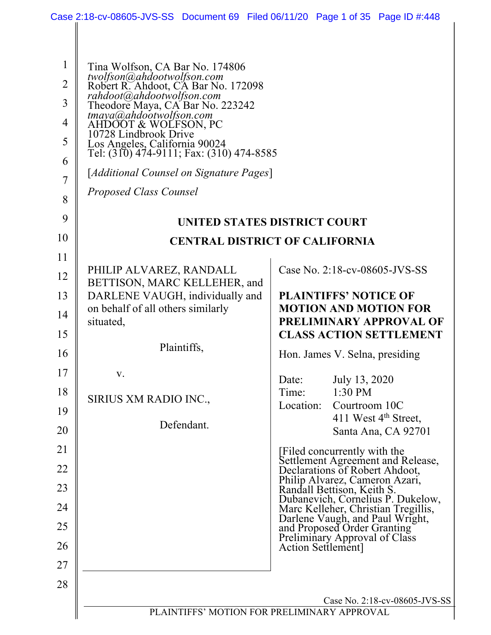|                                                                                             |                                                                                                                                                                                                                                                                                                                                                                                                            | Case 2:18-cv-08605-JVS-SS Document 69 Filed 06/11/20 Page 1 of 35 Page ID #:448                                                                                                                                                                     |
|---------------------------------------------------------------------------------------------|------------------------------------------------------------------------------------------------------------------------------------------------------------------------------------------------------------------------------------------------------------------------------------------------------------------------------------------------------------------------------------------------------------|-----------------------------------------------------------------------------------------------------------------------------------------------------------------------------------------------------------------------------------------------------|
| $\mathbf{1}$<br>$\overline{2}$<br>$\overline{3}$<br>$\overline{4}$<br>5<br>6<br>7<br>8<br>9 | Tina Wolfson, CA Bar No. 174806<br>twolfson@ahdootwolfson.com<br>Robert R. Ahdoot, CA Bar No. 172098<br>rahdoot@ahdootwolfson.com<br>Theodore Maya, CA Bar No. 223242<br>tmaya@ahdootwolfson.com<br>AHDOOT & WOLFSON, PC<br>10728 Lindbrook Drive<br>Los Angeles, California 90024<br>Tel: (310) 474-9111; Fax: (310) 474-8585<br>[Additional Counsel on Signature Pages]<br><b>Proposed Class Counsel</b> |                                                                                                                                                                                                                                                     |
| 10                                                                                          |                                                                                                                                                                                                                                                                                                                                                                                                            | UNITED STATES DISTRICT COURT                                                                                                                                                                                                                        |
| 11                                                                                          |                                                                                                                                                                                                                                                                                                                                                                                                            | <b>CENTRAL DISTRICT OF CALIFORNIA</b>                                                                                                                                                                                                               |
| 12<br>13<br>14<br>15<br>16<br>17<br>18                                                      | PHILIP ALVAREZ, RANDALL<br>BETTISON, MARC KELLEHER, and<br>DARLENE VAUGH, individually and<br>on behalf of all others similarly<br>situated,<br>Plaintiffs,<br>V.                                                                                                                                                                                                                                          | Case No. 2:18-cv-08605-JVS-SS<br><b>PLAINTIFFS' NOTICE OF</b><br><b>MOTION AND MOTION FOR</b><br><b>PRELIMINARY APPROVAL OF</b><br><b>CLASS ACTION SETTLEMENT</b><br>Hon. James V. Selna, presiding<br>July 13, 2020<br>Date:<br>Time:<br>$1:30$ PM |
| 19                                                                                          | SIRIUS XM RADIO INC.,                                                                                                                                                                                                                                                                                                                                                                                      | Location:<br>Courtroom 10C                                                                                                                                                                                                                          |
| 20                                                                                          | Defendant.                                                                                                                                                                                                                                                                                                                                                                                                 | 411 West $4th$ Street,<br>Santa Ana, CA 92701                                                                                                                                                                                                       |
| 21                                                                                          |                                                                                                                                                                                                                                                                                                                                                                                                            | [Filed concurrently with the<br>Settlement Agreement and Release,<br>Declarations of Robert Ahdoot,                                                                                                                                                 |
| 22<br>23                                                                                    |                                                                                                                                                                                                                                                                                                                                                                                                            | Philip Alvarez, Cameron Azari,<br>Randall Bettison, Keith S.                                                                                                                                                                                        |
| 24                                                                                          |                                                                                                                                                                                                                                                                                                                                                                                                            | Dubanevich, Cornelius P. Dukelow,                                                                                                                                                                                                                   |
| 25                                                                                          |                                                                                                                                                                                                                                                                                                                                                                                                            | Marc Kelleher, Christian Tregillis,<br>Darlene Vaugh, and Paul Wright,<br>and Proposed Order Granting<br>Preliminary Approval of Class                                                                                                              |
| 26                                                                                          |                                                                                                                                                                                                                                                                                                                                                                                                            | Action Settlement]                                                                                                                                                                                                                                  |
| 27                                                                                          |                                                                                                                                                                                                                                                                                                                                                                                                            |                                                                                                                                                                                                                                                     |
| 28                                                                                          |                                                                                                                                                                                                                                                                                                                                                                                                            |                                                                                                                                                                                                                                                     |
|                                                                                             |                                                                                                                                                                                                                                                                                                                                                                                                            | Case No. 2:18-cv-08605-JVS-SS<br>PLAINTIFFS' MOTION FOR PRELIMINARY APPROVAL                                                                                                                                                                        |
|                                                                                             |                                                                                                                                                                                                                                                                                                                                                                                                            |                                                                                                                                                                                                                                                     |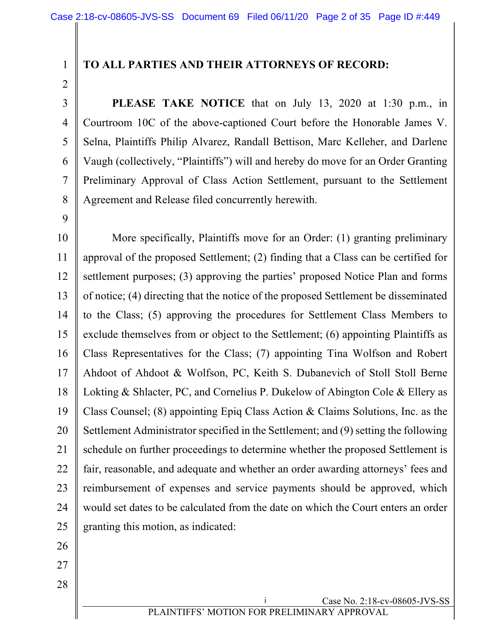### **TO ALL PARTIES AND THEIR ATTORNEYS OF RECORD:**

3 4 5 6 7 8 **PLEASE TAKE NOTICE** that on July 13, 2020 at 1:30 p.m., in Courtroom 10C of the above-captioned Court before the Honorable James V. Selna, Plaintiffs Philip Alvarez, Randall Bettison, Marc Kelleher, and Darlene Vaugh (collectively, "Plaintiffs") will and hereby do move for an Order Granting Preliminary Approval of Class Action Settlement, pursuant to the Settlement Agreement and Release filed concurrently herewith.

9

10 11 12 13 14 15 16 17 18 19 20 21 22 23 24 25 More specifically, Plaintiffs move for an Order: (1) granting preliminary approval of the proposed Settlement; (2) finding that a Class can be certified for settlement purposes; (3) approving the parties' proposed Notice Plan and forms of notice; (4) directing that the notice of the proposed Settlement be disseminated to the Class; (5) approving the procedures for Settlement Class Members to exclude themselves from or object to the Settlement; (6) appointing Plaintiffs as Class Representatives for the Class; (7) appointing Tina Wolfson and Robert Ahdoot of Ahdoot & Wolfson, PC, Keith S. Dubanevich of Stoll Stoll Berne Lokting & Shlacter, PC, and Cornelius P. Dukelow of Abington Cole & Ellery as Class Counsel; (8) appointing Epiq Class Action & Claims Solutions, Inc. as the Settlement Administrator specified in the Settlement; and (9) setting the following schedule on further proceedings to determine whether the proposed Settlement is fair, reasonable, and adequate and whether an order awarding attorneys' fees and reimbursement of expenses and service payments should be approved, which would set dates to be calculated from the date on which the Court enters an order granting this motion, as indicated:

26

27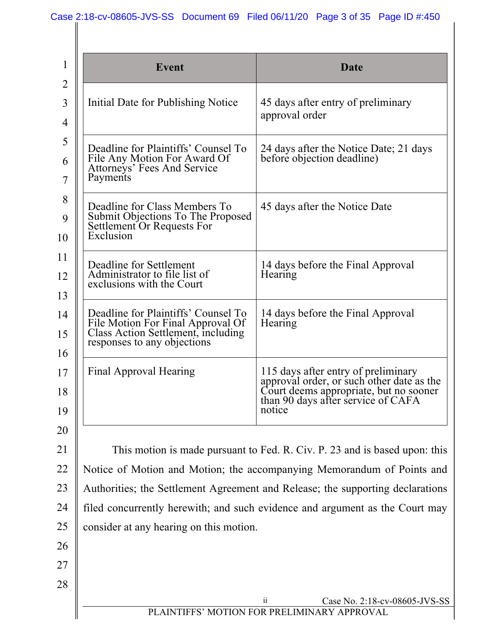| <b>Event</b>                                                                                                                                  | Date                                                                                                                                                                       |
|-----------------------------------------------------------------------------------------------------------------------------------------------|----------------------------------------------------------------------------------------------------------------------------------------------------------------------------|
| Initial Date for Publishing Notice                                                                                                            | 45 days after entry of preliminary<br>approval order                                                                                                                       |
| Deadline for Plaintiffs' Counsel To<br>File Any Motion For Award Of<br>Attorneys' Fees And Service<br>Payments                                | 24 days after the Notice Date; 21 days<br>before objection deadline)                                                                                                       |
| Deadline for Class Members To<br>Submit Objections To The Proposed<br>Settlement Or Requests For<br>Exclusion                                 | 45 days after the Notice Date                                                                                                                                              |
| Deadline for Settlement<br>Administrator to file list of<br>exclusions with the Court                                                         | 14 days before the Final Approval<br>Hearing                                                                                                                               |
| Deadline for Plaintiffs' Counsel To<br>File Motion For Final Approval Of<br>Class Action Settlement, including<br>responses to any objections | 14 days before the Final Approval<br>Hearing                                                                                                                               |
| Final Approval Hearing                                                                                                                        | 115 days after entry of preliminary<br>approval order, or such other date as the<br>Court deems appropriate, but no sooner<br>than 90 days after service of CAFA<br>notice |
|                                                                                                                                               |                                                                                                                                                                            |
|                                                                                                                                               | This motion is made pursuant to Fed. R. Civ. P. 23 and is based upon: this<br>Notice of Motion and Motion; the accompanying Memorandum of Points and                       |
|                                                                                                                                               | Authorities; the Settlement Agreement and Release; the supporting declarations                                                                                             |
|                                                                                                                                               | filed concurrently herewith; and such evidence and argument as the Court may                                                                                               |
| consider at any hearing on this motion.                                                                                                       |                                                                                                                                                                            |
|                                                                                                                                               |                                                                                                                                                                            |
|                                                                                                                                               |                                                                                                                                                                            |
|                                                                                                                                               |                                                                                                                                                                            |
|                                                                                                                                               | Case No. 2:18-cv-08605-JVS-SS<br>$\overline{\mathbf{1}}$<br>PLAINTIFFS' MOTION FOR PRELIMINARY APPROVAL                                                                    |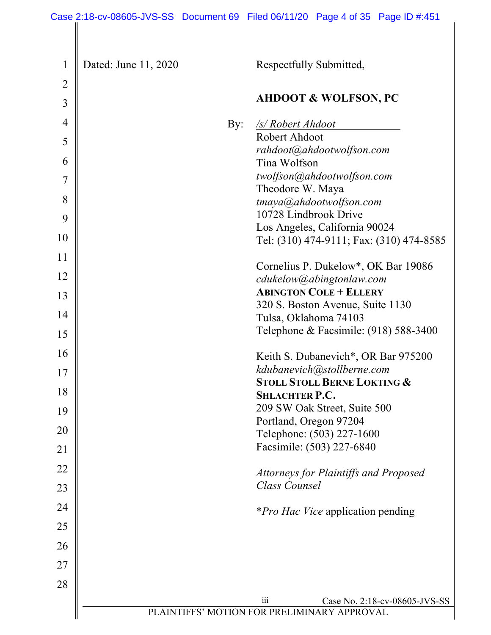| $\mathbf{1}$   | Dated: June 11, 2020 | Respectfully Submitted,                                                             |
|----------------|----------------------|-------------------------------------------------------------------------------------|
| $\overline{2}$ |                      |                                                                                     |
| 3              |                      | <b>AHDOOT &amp; WOLFSON, PC</b>                                                     |
| 4              | By:                  | /s/ Robert Ahdoot                                                                   |
| 5              |                      | Robert Ahdoot                                                                       |
| 6              |                      | rahdoot@ahdootwolfson.com<br>Tina Wolfson                                           |
| 7              |                      | twolfson@ahdootwolfson.com                                                          |
| 8              |                      | Theodore W. Maya                                                                    |
| 9              |                      | tmaya@ahdootwolfson.com<br>10728 Lindbrook Drive                                    |
|                |                      | Los Angeles, California 90024                                                       |
| 10             |                      | Tel: (310) 474-9111; Fax: (310) 474-8585                                            |
| 11             |                      | Cornelius P. Dukelow*, OK Bar 19086                                                 |
| 12             |                      | cdukelow@abingtonlaw.com                                                            |
| 13             |                      | <b>ABINGTON COLE + ELLERY</b><br>320 S. Boston Avenue, Suite 1130                   |
| 14             |                      | Tulsa, Oklahoma 74103                                                               |
| 15             |                      | Telephone & Facsimile: $(918)$ 588-3400                                             |
| 16             |                      | Keith S. Dubanevich*, OR Bar 975200                                                 |
| 17             |                      | kdubanevich@stollberne.com                                                          |
| 18             |                      | <b>STOLL STOLL BERNE LOKTING &amp;</b>                                              |
|                |                      | <b>SHLACHTER P.C.</b>                                                               |
| 19             |                      | 209 SW Oak Street, Suite 500<br>Portland, Oregon 97204                              |
| 20             |                      | Telephone: (503) 227-1600                                                           |
| 21             |                      | Facsimile: (503) 227-6840                                                           |
| 22             |                      | <b>Attorneys for Plaintiffs and Proposed</b>                                        |
| 23             |                      | Class Counsel                                                                       |
| 24             |                      | <i>*Pro Hac Vice</i> application pending                                            |
| 25             |                      |                                                                                     |
| 26             |                      |                                                                                     |
| 27             |                      |                                                                                     |
| 28             |                      |                                                                                     |
|                |                      | iii<br>Case No. 2:18-cv-08605-JVS-SS<br>PLAINTIFFS' MOTION FOR PRELIMINARY APPROVAL |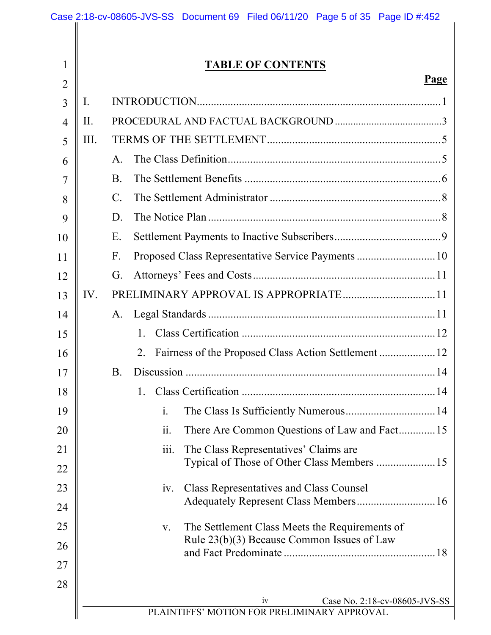|                |      | Case 2:18-cv-08605-JVS-SS Document 69 Filed 06/11/20 Page 5 of 35 Page ID #:452                      |
|----------------|------|------------------------------------------------------------------------------------------------------|
|                |      |                                                                                                      |
| $\mathbf{1}$   |      | <b>TABLE OF CONTENTS</b>                                                                             |
| $\overline{2}$ |      | <b>Page</b>                                                                                          |
| $\overline{3}$ | I.   |                                                                                                      |
| $\overline{4}$ | II.  |                                                                                                      |
| 5              | III. |                                                                                                      |
| 6              |      | $A_{\cdot}$                                                                                          |
| 7              |      | <b>B.</b>                                                                                            |
| 8              |      | $\mathbf{C}$ .                                                                                       |
| 9              |      | D.                                                                                                   |
| 10             |      | E.                                                                                                   |
| 11             |      | F.                                                                                                   |
| 12             |      | G.                                                                                                   |
| 13             | IV.  |                                                                                                      |
| 14             |      | A.                                                                                                   |
| 15             |      | 1.                                                                                                   |
| 16             |      | 2.                                                                                                   |
| 17             |      | Β.                                                                                                   |
| 18             |      | 1.                                                                                                   |
| 19             |      | The Class Is Sufficiently Numerous 14<br>i.                                                          |
| 20             |      | ii.<br>There Are Common Questions of Law and Fact15                                                  |
| 21             |      | <i>iii.</i><br>The Class Representatives' Claims are<br>Typical of Those of Other Class Members  15  |
| 22             |      |                                                                                                      |
| 23             |      | <b>Class Representatives and Class Counsel</b><br>iv.                                                |
| 24             |      |                                                                                                      |
| 25             |      | The Settlement Class Meets the Requirements of<br>V.<br>Rule $23(b)(3)$ Because Common Issues of Law |
| 26             |      |                                                                                                      |
| 27             |      |                                                                                                      |
| 28             |      |                                                                                                      |
|                |      | iv<br>Case No. 2:18-cv-08605-JVS-SS<br>PLAINTIFFS' MOTION FOR PRELIMINARY APPROVAL                   |
|                |      |                                                                                                      |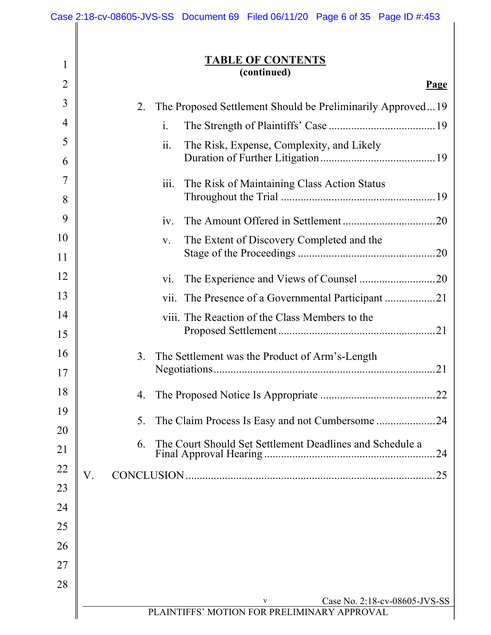|                | Case 2:18-cv-08605-JVS-SS Document 69 Filed 06/11/20 Page 6 of 35 Page ID #:453 |
|----------------|---------------------------------------------------------------------------------|
|                |                                                                                 |
| $\mathbf{1}$   | <b>TABLE OF CONTENTS</b>                                                        |
| $\overline{2}$ | (continued)                                                                     |
|                | <u>Page</u>                                                                     |
| 3              | 2.<br>The Proposed Settlement Should be Preliminarily Approved19                |
| 4              | $\mathbf{i}$ .                                                                  |
| 5              | ii.<br>The Risk, Expense, Complexity, and Likely                                |
| 6              |                                                                                 |
| 7              | iii.<br>The Risk of Maintaining Class Action Status                             |
| 8              |                                                                                 |
| 9              | iv.                                                                             |
| 10             | The Extent of Discovery Completed and the<br>V.                                 |
| 11             |                                                                                 |
| 12             | Vi.                                                                             |
| 13             |                                                                                 |
| 14             | viii. The Reaction of the Class Members to the                                  |
| 15             |                                                                                 |
| 16             | The Settlement was the Product of Arm's-Length<br>3.                            |
| 17             |                                                                                 |
| 18             | 4.                                                                              |
| 19             | 5.                                                                              |
| 20             |                                                                                 |
| 21             | The Court Should Set Settlement Deadlines and Schedule a<br>6.<br>24            |
| 22             | V.<br>25                                                                        |
| 23             |                                                                                 |
| 24             |                                                                                 |
| 25             |                                                                                 |
| 26             |                                                                                 |
| 27             |                                                                                 |
| 28             |                                                                                 |
|                | Case No. 2:18-cv-08605-JVS-SS<br>V                                              |
|                | PLAINTIFFS' MOTION FOR PRELIMINARY APPROVAL                                     |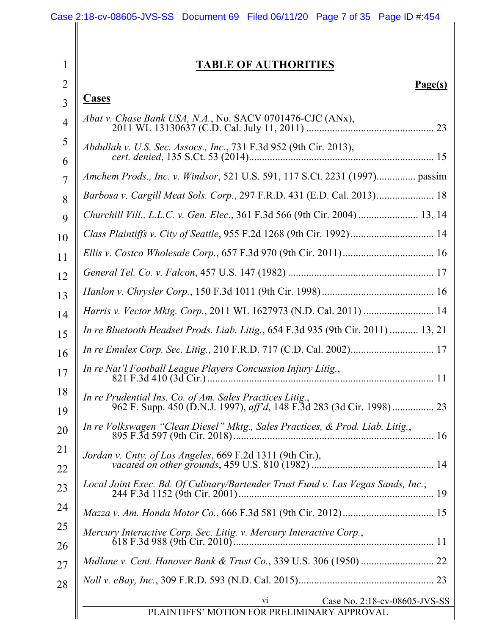|                | Case 2:18-cv-08605-JVS-SS Document 69 Filed 06/11/20 Page 7 of 35 Page ID #:454                                                   |
|----------------|-----------------------------------------------------------------------------------------------------------------------------------|
|                |                                                                                                                                   |
| $\mathbf{1}$   | <b>TABLE OF AUTHORITIES</b>                                                                                                       |
| $\overline{2}$ | Page(s)                                                                                                                           |
| $\overline{3}$ | <b>Cases</b>                                                                                                                      |
| $\overline{4}$ | Abat v. Chase Bank USA, N.A., No. SACV 0701476-CJC (ANx),                                                                         |
| 5              | Abdullah v. U.S. Sec. Assocs., Inc., 731 F.3d 952 (9th Cir. 2013),                                                                |
| 6              |                                                                                                                                   |
| $\overline{7}$ |                                                                                                                                   |
| 8              | Barbosa v. Cargill Meat Sols. Corp., 297 F.R.D. 431 (E.D. Cal. 2013) 18                                                           |
| 9              | Churchill Vill., L.L.C. v. Gen. Elec., 361 F.3d 566 (9th Cir. 2004)  13, 14                                                       |
| 10             | Class Plaintiffs v. City of Seattle, 955 F.2d 1268 (9th Cir. 1992)  14                                                            |
| 11             |                                                                                                                                   |
| 12             |                                                                                                                                   |
| 13             |                                                                                                                                   |
| 14             | Harris v. Vector Mktg. Corp., 2011 WL 1627973 (N.D. Cal. 2011)  14                                                                |
| 15             | In re Bluetooth Headset Prods. Liab. Litig., 654 F.3d 935 (9th Cir. 2011)  13, 21                                                 |
| 16             |                                                                                                                                   |
| 17             | In re Nat'l Football League Players Concussion Injury Litig.,                                                                     |
| 18<br>19       | In re Prudential Ins. Co. of Am. Sales Practices Litig.,<br>962 F. Supp. 450 (D.N.J. 1997), aff'd, 148 F.3d 283 (3d Cir. 1998) 23 |
| 20             | In re Volkswagen "Clean Diesel" Mktg., Sales Practices, & Prod. Liab. Litig.,                                                     |
| 21<br>22       | Jordan v. Cnty. of Los Angeles, 669 F.2d 1311 (9th Cir.),                                                                         |
| 23             | Local Joint Exec. Bd. Of Culinary/Bartender Trust Fund v. Las Vegas Sands, Inc.,                                                  |
| 24             |                                                                                                                                   |
| 25             | Mercury Interactive Corp. Sec. Litig. v. Mercury Interactive Corp.,                                                               |
| 26             |                                                                                                                                   |
| 27             |                                                                                                                                   |
| 28             |                                                                                                                                   |
|                | Case No. 2:18-cv-08605-JVS-SS<br>$\overline{vi}$<br>PLAINTIFFS' MOTION FOR PRELIMINARY APPROVAL                                   |
|                |                                                                                                                                   |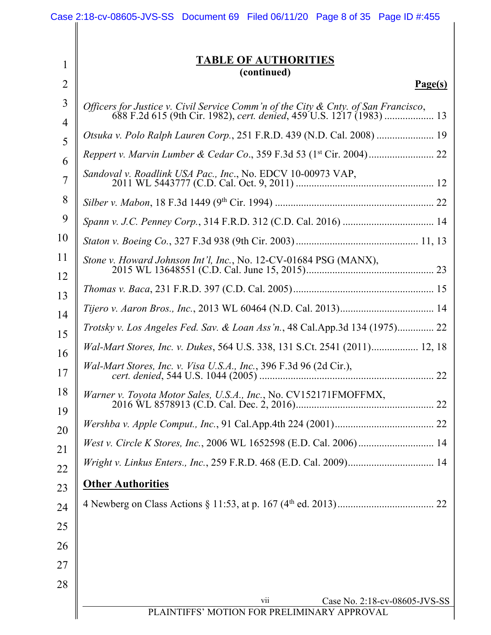|                | Case 2:18-cv-08605-JVS-SS Document 69 Filed 06/11/20 Page 8 of 35 Page ID #:455       |
|----------------|---------------------------------------------------------------------------------------|
|                |                                                                                       |
| $\mathbf{1}$   | <b>TABLE OF AUTHORITIES</b><br>(continued)                                            |
| $\overline{2}$ | Page(s)                                                                               |
| $\overline{3}$ | Officers for Justice v. Civil Service Comm'n of the City $\&$ Cnty. of San Francisco, |
| $\overline{4}$ |                                                                                       |
| 5              | Otsuka v. Polo Ralph Lauren Corp., 251 F.R.D. 439 (N.D. Cal. 2008)  19                |
| 6              |                                                                                       |
| $\overline{7}$ | Sandoval v. Roadlink USA Pac., Inc., No. EDCV 10-00973 VAP,                           |
| 8              |                                                                                       |
| 9              |                                                                                       |
| 10             |                                                                                       |
| 11             | Stone v. Howard Johnson Int'l, Inc., No. 12-CV-01684 PSG (MANX),                      |
| 12<br>13       |                                                                                       |
| 14             |                                                                                       |
| 15             | Trotsky v. Los Angeles Fed. Sav. & Loan Ass'n., 48 Cal.App.3d 134 (1975) 22           |
| 16             | Wal-Mart Stores, Inc. v. Dukes, 564 U.S. 338, 131 S.Ct. 2541 (2011) 12, 18            |
| 17             | Wal-Mart Stores, Inc. v. Visa U.S.A., Inc., 396 F.3d 96 (2d Cir.),                    |
| 18<br>19       | Warner v. Toyota Motor Sales, U.S.A., Inc., No. CV152171FMOFFMX,                      |
| 20             |                                                                                       |
| 21             |                                                                                       |
| 22             |                                                                                       |
| 23             | <b>Other Authorities</b>                                                              |
| 24             |                                                                                       |
| 25             |                                                                                       |
| 26             |                                                                                       |
| 27             |                                                                                       |
| 28             |                                                                                       |
|                | vii<br>Case No. 2:18-cv-08605-JVS-SS                                                  |
|                | PLAINTIFFS' MOTION FOR PRELIMINARY APPROVAL                                           |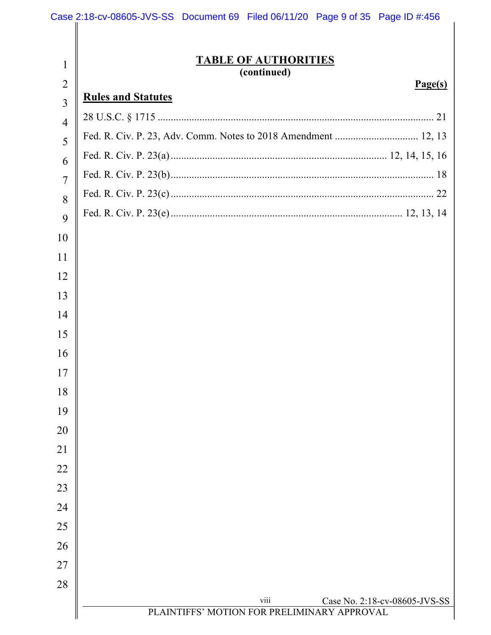|                | Case 2:18-cv-08605-JVS-SS Document 69 Filed 06/11/20 Page 9 of 35 Page ID #:456      |
|----------------|--------------------------------------------------------------------------------------|
|                |                                                                                      |
| 1              | <b>TABLE OF AUTHORITIES</b>                                                          |
| $\overline{2}$ | (continued)<br>Page(s)                                                               |
| $\overline{3}$ | <b>Rules and Statutes</b>                                                            |
| 4              |                                                                                      |
| 5              |                                                                                      |
| 6              |                                                                                      |
| 7              |                                                                                      |
| 8              |                                                                                      |
| 9              |                                                                                      |
| 10             |                                                                                      |
| 11             |                                                                                      |
| 12             |                                                                                      |
| 13             |                                                                                      |
| 14             |                                                                                      |
| 15             |                                                                                      |
| 16             |                                                                                      |
| 17             |                                                                                      |
| 18             |                                                                                      |
| 19             |                                                                                      |
| 20             |                                                                                      |
| 21             |                                                                                      |
| 22             |                                                                                      |
| 23             |                                                                                      |
| 24             |                                                                                      |
| 25             |                                                                                      |
| 26             |                                                                                      |
| 27             |                                                                                      |
| 28             |                                                                                      |
|                | viii<br>Case No. 2:18-cv-08605-JVS-SS<br>PLAINTIFFS' MOTION FOR PRELIMINARY APPROVAL |
|                |                                                                                      |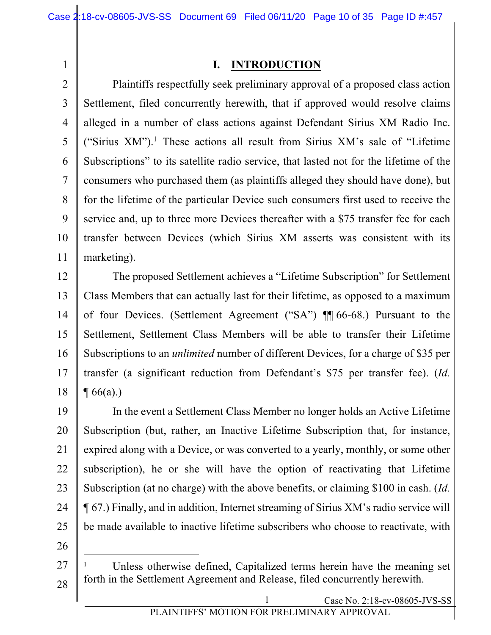### **I. INTRODUCTION**

2 3 4 5 6 7 8 9 10 11 Plaintiffs respectfully seek preliminary approval of a proposed class action Settlement, filed concurrently herewith, that if approved would resolve claims alleged in a number of class actions against Defendant Sirius XM Radio Inc. ("Sirius XM").<sup>1</sup> These actions all result from Sirius XM's sale of "Lifetime" Subscriptions" to its satellite radio service, that lasted not for the lifetime of the consumers who purchased them (as plaintiffs alleged they should have done), but for the lifetime of the particular Device such consumers first used to receive the service and, up to three more Devices thereafter with a \$75 transfer fee for each transfer between Devices (which Sirius XM asserts was consistent with its marketing).

12 13 14 15 16 17 18 The proposed Settlement achieves a "Lifetime Subscription" for Settlement Class Members that can actually last for their lifetime, as opposed to a maximum of four Devices. (Settlement Agreement ("SA") ¶¶ 66-68.) Pursuant to the Settlement, Settlement Class Members will be able to transfer their Lifetime Subscriptions to an *unlimited* number of different Devices, for a charge of \$35 per transfer (a significant reduction from Defendant's \$75 per transfer fee). (*Id.*  $\P(66(a))$ 

19 20 21 22 23 24 25 In the event a Settlement Class Member no longer holds an Active Lifetime Subscription (but, rather, an Inactive Lifetime Subscription that, for instance, expired along with a Device, or was converted to a yearly, monthly, or some other subscription), he or she will have the option of reactivating that Lifetime Subscription (at no charge) with the above benefits, or claiming \$100 in cash. (*Id.* ¶ 67.) Finally, and in addition, Internet streaming of Sirius XM's radio service will be made available to inactive lifetime subscribers who choose to reactivate, with

26

27 28 <sup>1</sup> Unless otherwise defined, Capitalized terms herein have the meaning set forth in the Settlement Agreement and Release, filed concurrently herewith.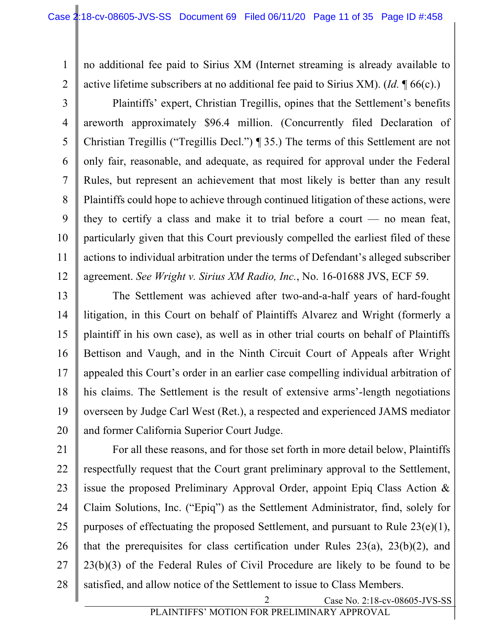2 no additional fee paid to Sirius XM (Internet streaming is already available to active lifetime subscribers at no additional fee paid to Sirius XM). (*Id.* ¶ 66(c).)

3 4 5 6 7 8 9 10 11 12 Plaintiffs' expert, Christian Tregillis, opines that the Settlement's benefits areworth approximately \$96.4 million. (Concurrently filed Declaration of Christian Tregillis ("Tregillis Decl.") ¶ 35.) The terms of this Settlement are not only fair, reasonable, and adequate, as required for approval under the Federal Rules, but represent an achievement that most likely is better than any result Plaintiffs could hope to achieve through continued litigation of these actions, were they to certify a class and make it to trial before a court — no mean feat, particularly given that this Court previously compelled the earliest filed of these actions to individual arbitration under the terms of Defendant's alleged subscriber agreement. *See Wright v. Sirius XM Radio, Inc.*, No. 16-01688 JVS, ECF 59.

13 14 15 16 17 18 19 20 The Settlement was achieved after two-and-a-half years of hard-fought litigation, in this Court on behalf of Plaintiffs Alvarez and Wright (formerly a plaintiff in his own case), as well as in other trial courts on behalf of Plaintiffs Bettison and Vaugh, and in the Ninth Circuit Court of Appeals after Wright appealed this Court's order in an earlier case compelling individual arbitration of his claims. The Settlement is the result of extensive arms'-length negotiations overseen by Judge Carl West (Ret.), a respected and experienced JAMS mediator and former California Superior Court Judge.

21 22 23 24 25 26 27 28 For all these reasons, and for those set forth in more detail below, Plaintiffs respectfully request that the Court grant preliminary approval to the Settlement, issue the proposed Preliminary Approval Order, appoint Epiq Class Action & Claim Solutions, Inc. ("Epiq") as the Settlement Administrator, find, solely for purposes of effectuating the proposed Settlement, and pursuant to Rule 23(e)(1), that the prerequisites for class certification under Rules  $23(a)$ ,  $23(b)(2)$ , and 23(b)(3) of the Federal Rules of Civil Procedure are likely to be found to be satisfied, and allow notice of the Settlement to issue to Class Members.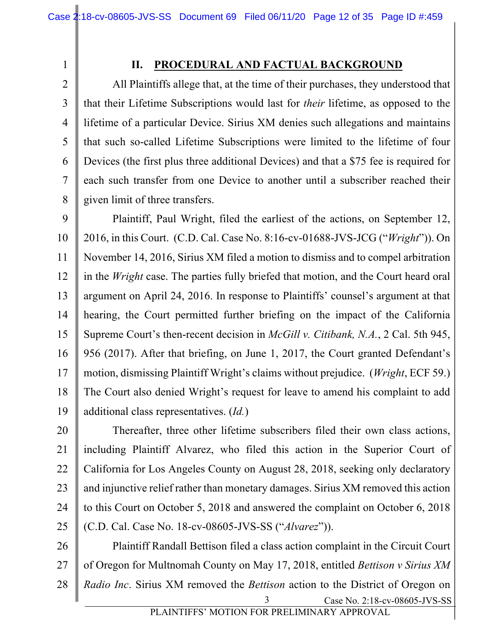3

4

5

6

7

8

# **II. PROCEDURAL AND FACTUAL BACKGROUND**

All Plaintiffs allege that, at the time of their purchases, they understood that that their Lifetime Subscriptions would last for *their* lifetime, as opposed to the lifetime of a particular Device. Sirius XM denies such allegations and maintains that such so-called Lifetime Subscriptions were limited to the lifetime of four Devices (the first plus three additional Devices) and that a \$75 fee is required for each such transfer from one Device to another until a subscriber reached their given limit of three transfers.

9 10 11 12 13 14 15 16 17 18 19 Plaintiff, Paul Wright, filed the earliest of the actions, on September 12, 2016, in this Court. (C.D. Cal. Case No. 8:16-cv-01688-JVS-JCG ("*Wright*")). On November 14, 2016, Sirius XM filed a motion to dismiss and to compel arbitration in the *Wright* case. The parties fully briefed that motion, and the Court heard oral argument on April 24, 2016. In response to Plaintiffs' counsel's argument at that hearing, the Court permitted further briefing on the impact of the California Supreme Court's then-recent decision in *McGill v. Citibank, N.A.*, 2 Cal. 5th 945, 956 (2017). After that briefing, on June 1, 2017, the Court granted Defendant's motion, dismissing Plaintiff Wright's claims without prejudice. (*Wright*, ECF 59.) The Court also denied Wright's request for leave to amend his complaint to add additional class representatives. (*Id.*)

20 21 22 23 24 25 Thereafter, three other lifetime subscribers filed their own class actions, including Plaintiff Alvarez, who filed this action in the Superior Court of California for Los Angeles County on August 28, 2018, seeking only declaratory and injunctive relief rather than monetary damages. Sirius XM removed this action to this Court on October 5, 2018 and answered the complaint on October 6, 2018 (C.D. Cal. Case No. 18-cv-08605-JVS-SS ("*Alvarez*")).

Case No. 2:18-cv-08605-JVS-SS 26 27 28 3 Plaintiff Randall Bettison filed a class action complaint in the Circuit Court of Oregon for Multnomah County on May 17, 2018, entitled *Bettison v Sirius XM Radio Inc*. Sirius XM removed the *Bettison* action to the District of Oregon on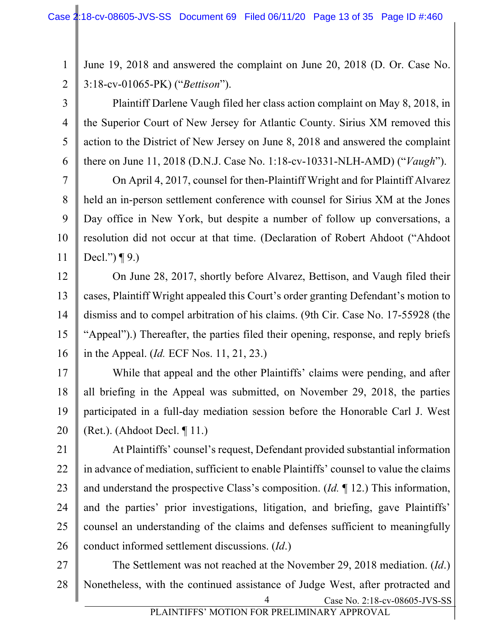4

5

6

1 2 June 19, 2018 and answered the complaint on June 20, 2018 (D. Or. Case No. 3:18-cv-01065-PK) ("*Bettison*").

Plaintiff Darlene Vaugh filed her class action complaint on May 8, 2018, in the Superior Court of New Jersey for Atlantic County. Sirius XM removed this action to the District of New Jersey on June 8, 2018 and answered the complaint there on June 11, 2018 (D.N.J. Case No. 1:18-cv-10331-NLH-AMD) ("*Vaugh*").

7 8 9 10 11 On April 4, 2017, counsel for then-Plaintiff Wright and for Plaintiff Alvarez held an in-person settlement conference with counsel for Sirius XM at the Jones Day office in New York, but despite a number of follow up conversations, a resolution did not occur at that time. (Declaration of Robert Ahdoot ("Ahdoot Decl.") ¶ 9.)

12 13 14 15 16 On June 28, 2017, shortly before Alvarez, Bettison, and Vaugh filed their cases, Plaintiff Wright appealed this Court's order granting Defendant's motion to dismiss and to compel arbitration of his claims. (9th Cir. Case No. 17-55928 (the "Appeal").) Thereafter, the parties filed their opening, response, and reply briefs in the Appeal. (*Id.* ECF Nos. 11, 21, 23.)

17 18 19 20 While that appeal and the other Plaintiffs' claims were pending, and after all briefing in the Appeal was submitted, on November 29, 2018, the parties participated in a full-day mediation session before the Honorable Carl J. West  $(Ret.).$  (Ahdoot Decl.  $\P$  11.)

21 22 23 24 25 26 At Plaintiffs' counsel's request, Defendant provided substantial information in advance of mediation, sufficient to enable Plaintiffs' counsel to value the claims and understand the prospective Class's composition. (*Id.* ¶ 12.) This information, and the parties' prior investigations, litigation, and briefing, gave Plaintiffs' counsel an understanding of the claims and defenses sufficient to meaningfully conduct informed settlement discussions. (*Id*.)

Case No. 2:18-cv-08605-JVS-SS 27 28 4 The Settlement was not reached at the November 29, 2018 mediation. (*Id*.) Nonetheless, with the continued assistance of Judge West, after protracted and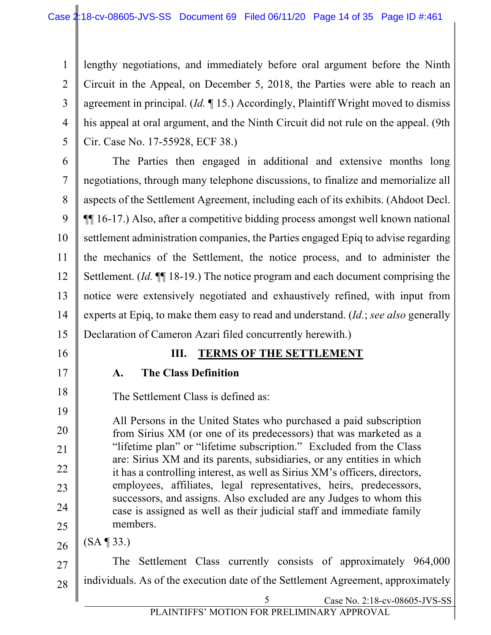1 2 3 4 5 lengthy negotiations, and immediately before oral argument before the Ninth Circuit in the Appeal, on December 5, 2018, the Parties were able to reach an agreement in principal. (*Id.* ¶ 15.) Accordingly, Plaintiff Wright moved to dismiss his appeal at oral argument, and the Ninth Circuit did not rule on the appeal. (9th Cir. Case No. 17-55928, ECF 38.)

6 7 8 9 10 11 12 13 14 15 The Parties then engaged in additional and extensive months long negotiations, through many telephone discussions, to finalize and memorialize all aspects of the Settlement Agreement, including each of its exhibits. (Ahdoot Decl. ¶¶ 16-17.) Also, after a competitive bidding process amongst well known national settlement administration companies, the Parties engaged Epiq to advise regarding the mechanics of the Settlement, the notice process, and to administer the Settlement. (*Id.* ¶¶ 18-19.) The notice program and each document comprising the notice were extensively negotiated and exhaustively refined, with input from experts at Epiq, to make them easy to read and understand. (*Id.*; *see also* generally Declaration of Cameron Azari filed concurrently herewith.)

16

17

18

# **III. TERMS OF THE SETTLEMENT**

#### **A. The Class Definition**

The Settlement Class is defined as:

19 20 21 22 23 24 25 All Persons in the United States who purchased a paid subscription from Sirius XM (or one of its predecessors) that was marketed as a "lifetime plan" or "lifetime subscription." Excluded from the Class are: Sirius XM and its parents, subsidiaries, or any entities in which it has a controlling interest, as well as Sirius XM's officers, directors, employees, affiliates, legal representatives, heirs, predecessors, successors, and assigns. Also excluded are any Judges to whom this case is assigned as well as their judicial staff and immediate family members.

26 (SA ¶ 33.)

27 28 The Settlement Class currently consists of approximately 964,000 individuals. As of the execution date of the Settlement Agreement, approximately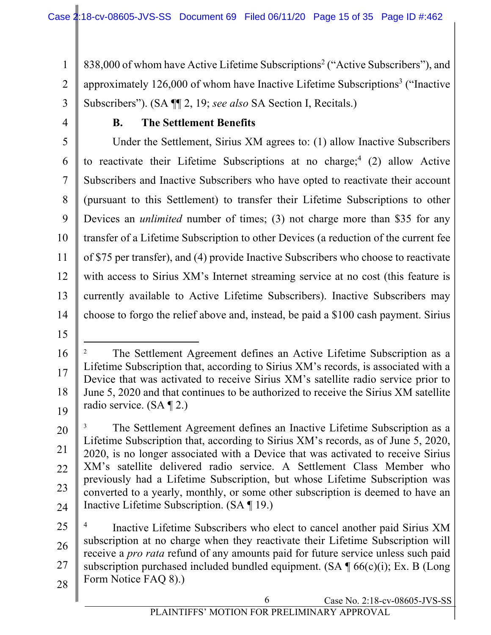1 2 3 838,000 of whom have Active Lifetime Subscriptions<sup>2</sup> ("Active Subscribers"), and approximately  $126,000$  of whom have Inactive Lifetime Subscriptions<sup>3</sup> ("Inactive Subscribers"). (SA ¶¶ 2, 19; *see also* SA Section I, Recitals.)

4

## **B. The Settlement Benefits**

5 6 7 8 9 10 11 12 13 14 Under the Settlement, Sirius XM agrees to: (1) allow Inactive Subscribers to reactivate their Lifetime Subscriptions at no charge; <sup>4</sup> (2) allow Active Subscribers and Inactive Subscribers who have opted to reactivate their account (pursuant to this Settlement) to transfer their Lifetime Subscriptions to other Devices an *unlimited* number of times; (3) not charge more than \$35 for any transfer of a Lifetime Subscription to other Devices (a reduction of the current fee of \$75 per transfer), and (4) provide Inactive Subscribers who choose to reactivate with access to Sirius XM's Internet streaming service at no cost (this feature is currently available to Active Lifetime Subscribers). Inactive Subscribers may choose to forgo the relief above and, instead, be paid a \$100 cash payment. Sirius

15

<sup>16</sup> 17 18 19 <sup>2</sup> The Settlement Agreement defines an Active Lifetime Subscription as a Lifetime Subscription that, according to Sirius XM's records, is associated with a Device that was activated to receive Sirius XM's satellite radio service prior to June 5, 2020 and that continues to be authorized to receive the Sirius XM satellite radio service. (SA ¶ 2.)

<sup>20</sup> 21 22 23 24 The Settlement Agreement defines an Inactive Lifetime Subscription as a Lifetime Subscription that, according to Sirius XM's records, as of June 5, 2020, 2020, is no longer associated with a Device that was activated to receive Sirius XM's satellite delivered radio service. A Settlement Class Member who previously had a Lifetime Subscription, but whose Lifetime Subscription was converted to a yearly, monthly, or some other subscription is deemed to have an Inactive Lifetime Subscription. (SA ¶ 19.)

<sup>25</sup> 26 27 28 Inactive Lifetime Subscribers who elect to cancel another paid Sirius XM subscription at no charge when they reactivate their Lifetime Subscription will receive a *pro rata* refund of any amounts paid for future service unless such paid subscription purchased included bundled equipment.  $(SA \P 66(c)(i))$ ; Ex. B (Long Form Notice FAO 8).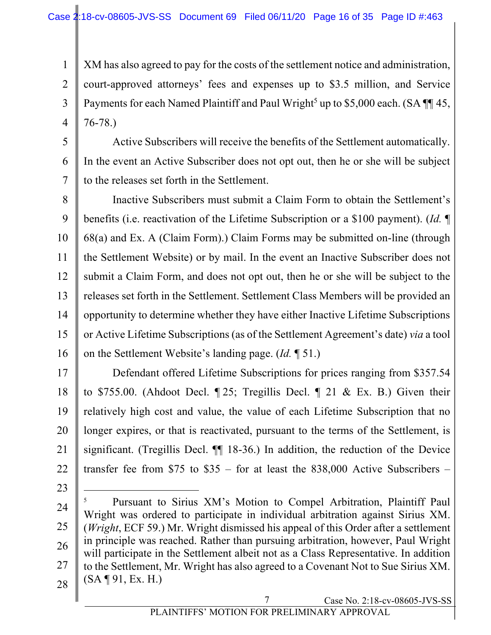1 2 3 4 XM has also agreed to pay for the costs of the settlement notice and administration, court-approved attorneys' fees and expenses up to \$3.5 million, and Service Payments for each Named Plaintiff and Paul Wright<sup>5</sup> up to \$5,000 each. (SA  $\P$  145, 76-78.)

5 6 7 Active Subscribers will receive the benefits of the Settlement automatically. In the event an Active Subscriber does not opt out, then he or she will be subject to the releases set forth in the Settlement.

8 9 10 11 12 13 14 15 16 Inactive Subscribers must submit a Claim Form to obtain the Settlement's benefits (i.e. reactivation of the Lifetime Subscription or a \$100 payment). (*Id.* ¶ 68(a) and Ex. A (Claim Form).) Claim Forms may be submitted on-line (through the Settlement Website) or by mail. In the event an Inactive Subscriber does not submit a Claim Form, and does not opt out, then he or she will be subject to the releases set forth in the Settlement. Settlement Class Members will be provided an opportunity to determine whether they have either Inactive Lifetime Subscriptions or Active Lifetime Subscriptions (as of the Settlement Agreement's date) *via* a tool on the Settlement Website's landing page. (*Id.* ¶ 51.)

17 18 19 20 21 22 Defendant offered Lifetime Subscriptions for prices ranging from \$357.54 to \$755.00. (Ahdoot Decl. ¶ 25; Tregillis Decl. ¶ 21 & Ex. B.) Given their relatively high cost and value, the value of each Lifetime Subscription that no longer expires, or that is reactivated, pursuant to the terms of the Settlement, is significant. (Tregillis Decl. ¶¶ 18-36.) In addition, the reduction of the Device transfer fee from  $$75$  to  $$35$  – for at least the 838,000 Active Subscribers –

24 25 26 27 28 Pursuant to Sirius XM's Motion to Compel Arbitration, Plaintiff Paul Wright was ordered to participate in individual arbitration against Sirius XM. (*Wright*, ECF 59.) Mr. Wright dismissed his appeal of this Order after a settlement in principle was reached. Rather than pursuing arbitration, however, Paul Wright will participate in the Settlement albeit not as a Class Representative. In addition to the Settlement, Mr. Wright has also agreed to a Covenant Not to Sue Sirius XM.  $(SA \P 91, Ex. H.)$ 

23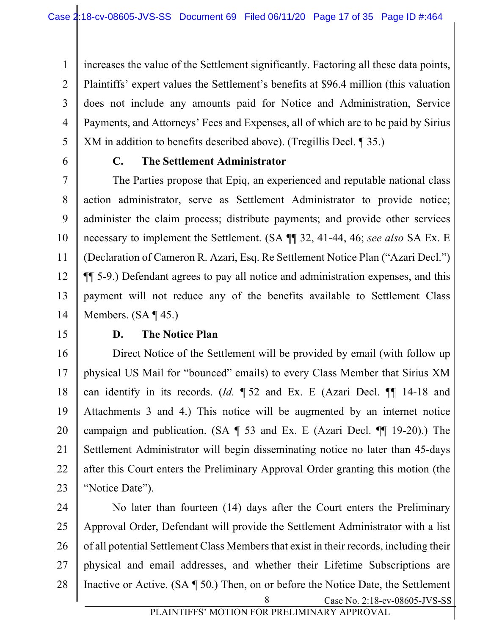1 2 3 4 5 increases the value of the Settlement significantly. Factoring all these data points, Plaintiffs' expert values the Settlement's benefits at \$96.4 million (this valuation does not include any amounts paid for Notice and Administration, Service Payments, and Attorneys' Fees and Expenses, all of which are to be paid by Sirius XM in addition to benefits described above). (Tregillis Decl. ¶ 35.)

6

# **C. The Settlement Administrator**

7 8 9 10 11 12 13 14 The Parties propose that Epiq, an experienced and reputable national class action administrator, serve as Settlement Administrator to provide notice; administer the claim process; distribute payments; and provide other services necessary to implement the Settlement. (SA ¶¶ 32, 41-44, 46; *see also* SA Ex. E (Declaration of Cameron R. Azari, Esq. Re Settlement Notice Plan ("Azari Decl.") ¶¶ 5-9.) Defendant agrees to pay all notice and administration expenses, and this payment will not reduce any of the benefits available to Settlement Class Members. (SA ¶ 45.)

15

## **D. The Notice Plan**

16 17 18 19 20 21 22 23 Direct Notice of the Settlement will be provided by email (with follow up physical US Mail for "bounced" emails) to every Class Member that Sirius XM can identify in its records. (*Id.* ¶ 52 and Ex. E (Azari Decl. ¶¶ 14-18 and Attachments 3 and 4.) This notice will be augmented by an internet notice campaign and publication. (SA  $\P$  53 and Ex. E (Azari Decl.  $\P$  19-20).) The Settlement Administrator will begin disseminating notice no later than 45-days after this Court enters the Preliminary Approval Order granting this motion (the "Notice Date").

Case No. 2:18-cv-08605-JVS-SS 24 25 26 27 28 8 No later than fourteen (14) days after the Court enters the Preliminary Approval Order, Defendant will provide the Settlement Administrator with a list of all potential Settlement Class Members that exist in their records, including their physical and email addresses, and whether their Lifetime Subscriptions are Inactive or Active. (SA ¶ 50.) Then, on or before the Notice Date, the Settlement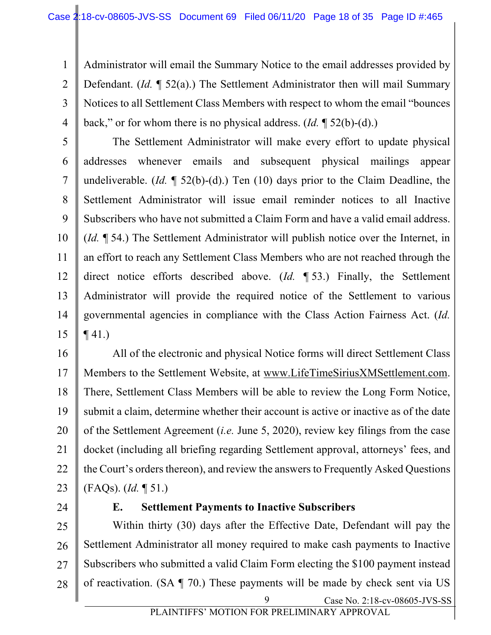1 2 3 4 Administrator will email the Summary Notice to the email addresses provided by Defendant. (*Id.* ¶ 52(a).) The Settlement Administrator then will mail Summary Notices to all Settlement Class Members with respect to whom the email "bounces back," or for whom there is no physical address. (*Id.* ¶ 52(b)-(d).)

5 6 7 8 9 10 11 12 13 14 15 The Settlement Administrator will make every effort to update physical addresses whenever emails and subsequent physical mailings appear undeliverable. (*Id.* ¶ 52(b)-(d).) Ten (10) days prior to the Claim Deadline, the Settlement Administrator will issue email reminder notices to all Inactive Subscribers who have not submitted a Claim Form and have a valid email address. (*Id.* ¶ 54.) The Settlement Administrator will publish notice over the Internet, in an effort to reach any Settlement Class Members who are not reached through the direct notice efforts described above. (*Id.* ¶ 53.) Finally, the Settlement Administrator will provide the required notice of the Settlement to various governmental agencies in compliance with the Class Action Fairness Act. (*Id.*   $\P$  41.)

16 17 18 19 20 21 22 23 All of the electronic and physical Notice forms will direct Settlement Class Members to the Settlement Website, at www.LifeTimeSiriusXMSettlement.com. There, Settlement Class Members will be able to review the Long Form Notice, submit a claim, determine whether their account is active or inactive as of the date of the Settlement Agreement (*i.e.* June 5, 2020), review key filings from the case docket (including all briefing regarding Settlement approval, attorneys' fees, and the Court's orders thereon), and review the answers to Frequently Asked Questions (FAQs). (*Id.* ¶ 51.)

24

#### **E. Settlement Payments to Inactive Subscribers**

Case No. 2:18-cv-08605-JVS-SS 25 26 27 28 9 Within thirty (30) days after the Effective Date, Defendant will pay the Settlement Administrator all money required to make cash payments to Inactive Subscribers who submitted a valid Claim Form electing the \$100 payment instead of reactivation. (SA ¶ 70.) These payments will be made by check sent via US

PLAINTIFFS' MOTION FOR PRELIMINARY APPROVAL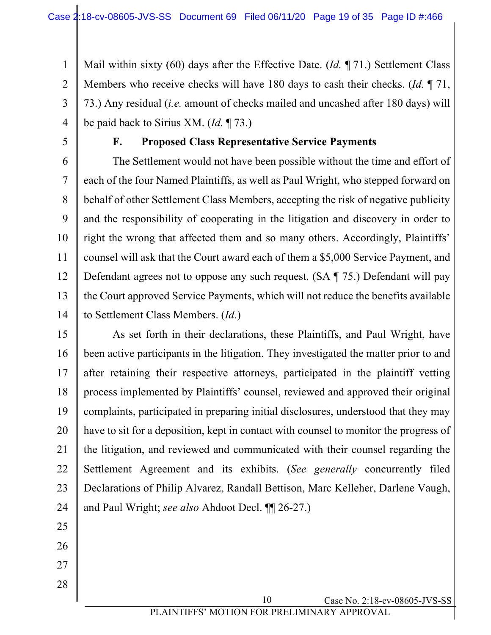1 2 3 4 Mail within sixty (60) days after the Effective Date. (*Id.* ¶ 71.) Settlement Class Members who receive checks will have 180 days to cash their checks. (*Id.* ¶ 71, 73.) Any residual (*i.e.* amount of checks mailed and uncashed after 180 days) will be paid back to Sirius XM. (*Id.* ¶ 73.)

5

## **F. Proposed Class Representative Service Payments**

6 7 8 9 10 11 12 13 The Settlement would not have been possible without the time and effort of each of the four Named Plaintiffs, as well as Paul Wright, who stepped forward on behalf of other Settlement Class Members, accepting the risk of negative publicity and the responsibility of cooperating in the litigation and discovery in order to right the wrong that affected them and so many others. Accordingly, Plaintiffs' counsel will ask that the Court award each of them a \$5,000 Service Payment, and Defendant agrees not to oppose any such request. (SA ¶ 75.) Defendant will pay the Court approved Service Payments, which will not reduce the benefits available to Settlement Class Members. (*Id*.)

14

15 16 17 18 19 20 21 22 23 24 As set forth in their declarations, these Plaintiffs, and Paul Wright, have been active participants in the litigation. They investigated the matter prior to and after retaining their respective attorneys, participated in the plaintiff vetting process implemented by Plaintiffs' counsel, reviewed and approved their original complaints, participated in preparing initial disclosures, understood that they may have to sit for a deposition, kept in contact with counsel to monitor the progress of the litigation, and reviewed and communicated with their counsel regarding the Settlement Agreement and its exhibits. (*See generally* concurrently filed Declarations of Philip Alvarez, Randall Bettison, Marc Kelleher, Darlene Vaugh, and Paul Wright; *see also* Ahdoot Decl. ¶¶ 26-27.)

- 25
- 26 27
-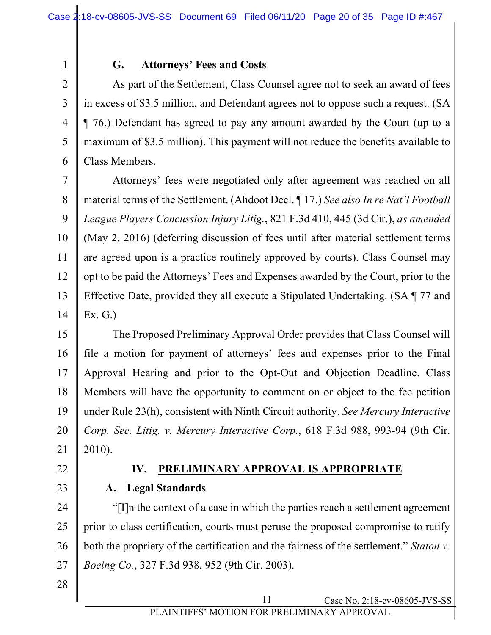### **G. Attorneys' Fees and Costs**

As part of the Settlement, Class Counsel agree not to seek an award of fees in excess of \$3.5 million, and Defendant agrees not to oppose such a request. (SA ¶ 76.) Defendant has agreed to pay any amount awarded by the Court (up to a maximum of \$3.5 million). This payment will not reduce the benefits available to Class Members.

7 8 9 10 11 12 13 14 Attorneys' fees were negotiated only after agreement was reached on all material terms of the Settlement. (Ahdoot Decl. ¶ 17.) *See also In re Nat'l Football League Players Concussion Injury Litig.*, 821 F.3d 410, 445 (3d Cir.), *as amended* (May 2, 2016) (deferring discussion of fees until after material settlement terms are agreed upon is a practice routinely approved by courts). Class Counsel may opt to be paid the Attorneys' Fees and Expenses awarded by the Court, prior to the Effective Date, provided they all execute a Stipulated Undertaking. (SA ¶ 77 and Ex. G.)

15 16 17 18 19 20 21 The Proposed Preliminary Approval Order provides that Class Counsel will file a motion for payment of attorneys' fees and expenses prior to the Final Approval Hearing and prior to the Opt-Out and Objection Deadline. Class Members will have the opportunity to comment on or object to the fee petition under Rule 23(h), consistent with Ninth Circuit authority. *See Mercury Interactive Corp. Sec. Litig. v. Mercury Interactive Corp.*, 618 F.3d 988, 993-94 (9th Cir. 2010).

22

23

1

2

3

4

5

6

#### **IV. PRELIMINARY APPROVAL IS APPROPRIATE**

**A. Legal Standards**

24 25 26 27 "[I]n the context of a case in which the parties reach a settlement agreement prior to class certification, courts must peruse the proposed compromise to ratify both the propriety of the certification and the fairness of the settlement." *Staton v. Boeing Co.*, 327 F.3d 938, 952 (9th Cir. 2003).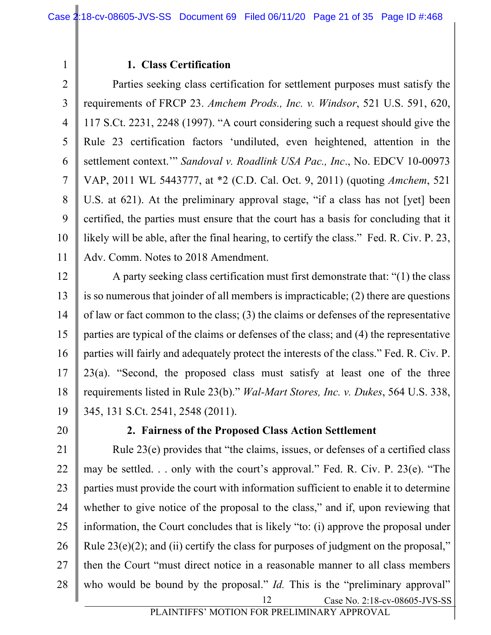#### **1. Class Certification**

2 3 4 5 6 7 8 9 10 11 Parties seeking class certification for settlement purposes must satisfy the requirements of FRCP 23. *Amchem Prods., Inc. v. Windsor*, 521 U.S. 591, 620, 117 S.Ct. 2231, 2248 (1997). "A court considering such a request should give the Rule 23 certification factors 'undiluted, even heightened, attention in the settlement context.'" *Sandoval v. Roadlink USA Pac., Inc*., No. EDCV 10-00973 VAP, 2011 WL 5443777, at \*2 (C.D. Cal. Oct. 9, 2011) (quoting *Amchem*, 521 U.S. at 621). At the preliminary approval stage, "if a class has not [yet] been certified, the parties must ensure that the court has a basis for concluding that it likely will be able, after the final hearing, to certify the class." Fed. R. Civ. P. 23, Adv. Comm. Notes to 2018 Amendment.

12 13 14 15 16 17 18 19 A party seeking class certification must first demonstrate that: "(1) the class is so numerous that joinder of all members is impracticable; (2) there are questions of law or fact common to the class; (3) the claims or defenses of the representative parties are typical of the claims or defenses of the class; and (4) the representative parties will fairly and adequately protect the interests of the class." Fed. R. Civ. P. 23(a). "Second, the proposed class must satisfy at least one of the three requirements listed in Rule 23(b)." *Wal-Mart Stores, Inc. v. Dukes*, 564 U.S. 338, 345, 131 S.Ct. 2541, 2548 (2011).

20

1

#### **2. Fairness of the Proposed Class Action Settlement**

Case No. 2:18-cv-08605-JVS-SS 21 22 23 24 25 26 27 28 12 Rule 23(e) provides that "the claims, issues, or defenses of a certified class may be settled. . . only with the court's approval." Fed. R. Civ. P. 23(e). "The parties must provide the court with information sufficient to enable it to determine whether to give notice of the proposal to the class," and if, upon reviewing that information, the Court concludes that is likely "to: (i) approve the proposal under Rule  $23(e)(2)$ ; and (ii) certify the class for purposes of judgment on the proposal," then the Court "must direct notice in a reasonable manner to all class members who would be bound by the proposal." *Id.* This is the "preliminary approval"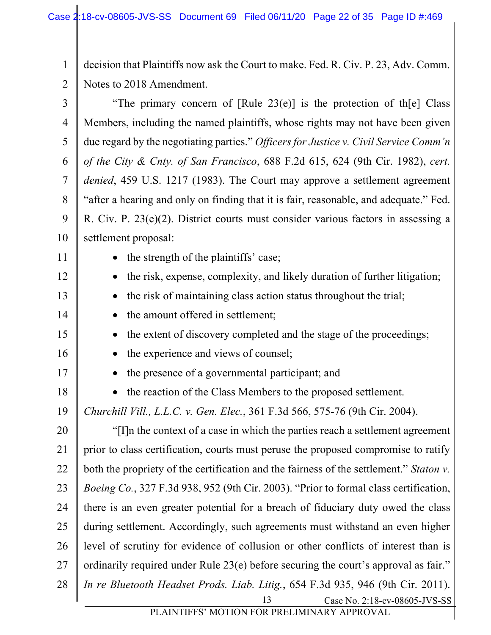1 2 decision that Plaintiffs now ask the Court to make. Fed. R. Civ. P. 23, Adv. Comm. Notes to 2018 Amendment.

Case No. 2:18-cv-08605-JVS-SS 3 4 5 6 7 8 9 10 11 12 13 14 15 16 17 18 19 20 21 22 23 24 25 26 27 28 13 "The primary concern of  $[Rule 23(e)]$  is the protection of th $[e]$  Class Members, including the named plaintiffs, whose rights may not have been given due regard by the negotiating parties." *Officers for Justice v. Civil Service Comm'n of the City & Cnty. of San Francisco*, 688 F.2d 615, 624 (9th Cir. 1982), *cert. denied*, 459 U.S. 1217 (1983). The Court may approve a settlement agreement "after a hearing and only on finding that it is fair, reasonable, and adequate." Fed. R. Civ. P. 23(e)(2). District courts must consider various factors in assessing a settlement proposal: • the strength of the plaintiffs' case; • the risk, expense, complexity, and likely duration of further litigation; • the risk of maintaining class action status throughout the trial; • the amount offered in settlement: • the extent of discovery completed and the stage of the proceedings; • the experience and views of counsel; • the presence of a governmental participant; and • the reaction of the Class Members to the proposed settlement. *Churchill Vill., L.L.C. v. Gen. Elec.*, 361 F.3d 566, 575-76 (9th Cir. 2004). "[I]n the context of a case in which the parties reach a settlement agreement prior to class certification, courts must peruse the proposed compromise to ratify both the propriety of the certification and the fairness of the settlement." *Staton v. Boeing Co.*, 327 F.3d 938, 952 (9th Cir. 2003). "Prior to formal class certification, there is an even greater potential for a breach of fiduciary duty owed the class during settlement. Accordingly, such agreements must withstand an even higher level of scrutiny for evidence of collusion or other conflicts of interest than is ordinarily required under Rule 23(e) before securing the court's approval as fair." *In re Bluetooth Headset Prods. Liab. Litig.*, 654 F.3d 935, 946 (9th Cir. 2011).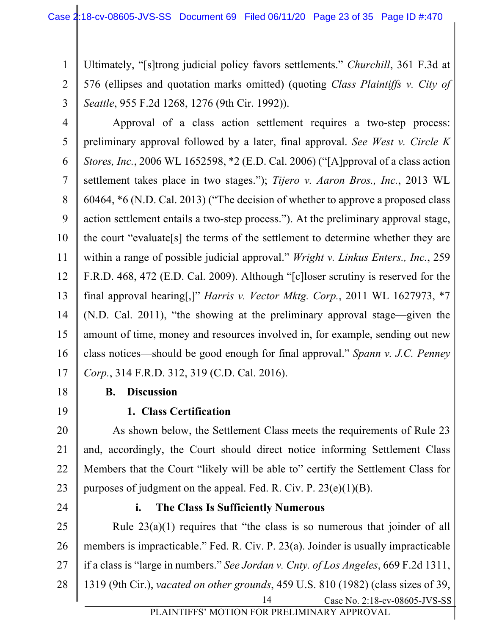1 2 3 Ultimately, "[s]trong judicial policy favors settlements." *Churchill*, 361 F.3d at 576 (ellipses and quotation marks omitted) (quoting *Class Plaintiffs v. City of Seattle*, 955 F.2d 1268, 1276 (9th Cir. 1992)).

4 5 6 7 8 9 10 11 12 13 14 15 16 17 Approval of a class action settlement requires a two-step process: preliminary approval followed by a later, final approval. *See West v. Circle K Stores, Inc.*, 2006 WL 1652598, \*2 (E.D. Cal. 2006) ("[A]pproval of a class action settlement takes place in two stages."); *Tijero v. Aaron Bros., Inc.*, 2013 WL 60464, \*6 (N.D. Cal. 2013) ("The decision of whether to approve a proposed class action settlement entails a two-step process."). At the preliminary approval stage, the court "evaluate[s] the terms of the settlement to determine whether they are within a range of possible judicial approval." *Wright v. Linkus Enters., Inc.*, 259 F.R.D. 468, 472 (E.D. Cal. 2009). Although "[c]loser scrutiny is reserved for the final approval hearing[,]" *Harris v. Vector Mktg. Corp.*, 2011 WL 1627973, \*7 (N.D. Cal. 2011), "the showing at the preliminary approval stage—given the amount of time, money and resources involved in, for example, sending out new class notices—should be good enough for final approval." *Spann v. J.C. Penney Corp.*, 314 F.R.D. 312, 319 (C.D. Cal. 2016).

18

19

## **B. Discussion**

**1. Class Certification**

20 21 22 23 As shown below, the Settlement Class meets the requirements of Rule 23 and, accordingly, the Court should direct notice informing Settlement Class Members that the Court "likely will be able to" certify the Settlement Class for purposes of judgment on the appeal. Fed. R. Civ. P.  $23(e)(1)(B)$ .

24

#### **i. The Class Is Sufficiently Numerous**

25 26 27 28 Rule  $23(a)(1)$  requires that "the class is so numerous that joinder of all members is impracticable." Fed. R. Civ. P. 23(a). Joinder is usually impracticable if a class is "large in numbers." *See Jordan v. Cnty. of Los Angeles*, 669 F.2d 1311, 1319 (9th Cir.), *vacated on other grounds*, 459 U.S. 810 (1982) (class sizes of 39,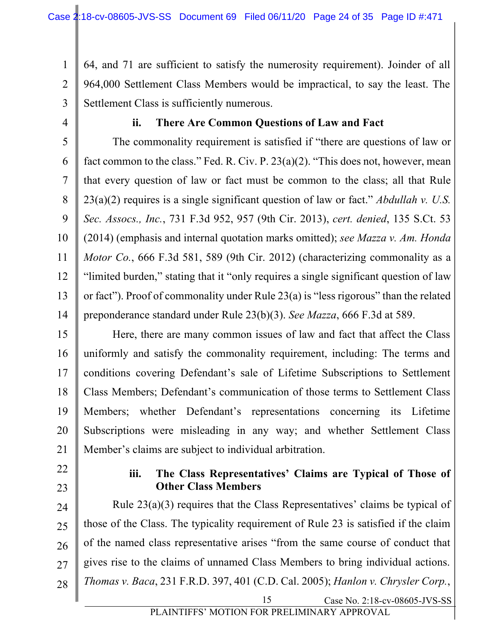1 2 3 64, and 71 are sufficient to satisfy the numerosity requirement). Joinder of all 964,000 Settlement Class Members would be impractical, to say the least. The Settlement Class is sufficiently numerous.

4

## **ii. There Are Common Questions of Law and Fact**

5 6 7 8 9 10 11 12 13 14 The commonality requirement is satisfied if "there are questions of law or fact common to the class." Fed. R. Civ. P. 23(a)(2). "This does not, however, mean that every question of law or fact must be common to the class; all that Rule 23(a)(2) requires is a single significant question of law or fact." *Abdullah v. U.S. Sec. Assocs., Inc.*, 731 F.3d 952, 957 (9th Cir. 2013), *cert. denied*, 135 S.Ct. 53 (2014) (emphasis and internal quotation marks omitted); *see Mazza v. Am. Honda Motor Co.*, 666 F.3d 581, 589 (9th Cir. 2012) (characterizing commonality as a "limited burden," stating that it "only requires a single significant question of law or fact"). Proof of commonality under Rule 23(a) is "less rigorous" than the related preponderance standard under Rule 23(b)(3). *See Mazza*, 666 F.3d at 589.

15 16 17 18 19 20 21 Here, there are many common issues of law and fact that affect the Class uniformly and satisfy the commonality requirement, including: The terms and conditions covering Defendant's sale of Lifetime Subscriptions to Settlement Class Members; Defendant's communication of those terms to Settlement Class Members; whether Defendant's representations concerning its Lifetime Subscriptions were misleading in any way; and whether Settlement Class Member's claims are subject to individual arbitration.

- 22
- 23

#### **iii. The Class Representatives' Claims are Typical of Those of Other Class Members**

Case No. 2:18-cv-08605-JVS-SS 24 25 26 27 28 15 Rule 23(a)(3) requires that the Class Representatives' claims be typical of those of the Class. The typicality requirement of Rule 23 is satisfied if the claim of the named class representative arises "from the same course of conduct that gives rise to the claims of unnamed Class Members to bring individual actions. *Thomas v. Baca*, 231 F.R.D. 397, 401 (C.D. Cal. 2005); *Hanlon v. Chrysler Corp.*,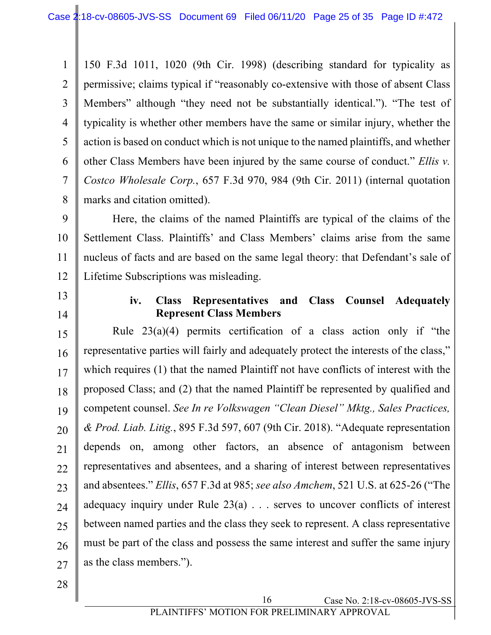1 2 3 4 5 6 7 8 150 F.3d 1011, 1020 (9th Cir. 1998) (describing standard for typicality as permissive; claims typical if "reasonably co-extensive with those of absent Class Members" although "they need not be substantially identical."). "The test of typicality is whether other members have the same or similar injury, whether the action is based on conduct which is not unique to the named plaintiffs, and whether other Class Members have been injured by the same course of conduct." *Ellis v. Costco Wholesale Corp.*, 657 F.3d 970, 984 (9th Cir. 2011) (internal quotation marks and citation omitted).

9 10 12 Here, the claims of the named Plaintiffs are typical of the claims of the Settlement Class. Plaintiffs' and Class Members' claims arise from the same nucleus of facts and are based on the same legal theory: that Defendant's sale of Lifetime Subscriptions was misleading.

13

14

11

## **iv. Class Representatives and Class Counsel Adequately Represent Class Members**

15 16 17 18 19 20 21 22 23 24 25 26 27 Rule  $23(a)(4)$  permits certification of a class action only if "the representative parties will fairly and adequately protect the interests of the class," which requires (1) that the named Plaintiff not have conflicts of interest with the proposed Class; and (2) that the named Plaintiff be represented by qualified and competent counsel. *See In re Volkswagen "Clean Diesel" Mktg., Sales Practices, & Prod. Liab. Litig.*, 895 F.3d 597, 607 (9th Cir. 2018). "Adequate representation depends on, among other factors, an absence of antagonism between representatives and absentees, and a sharing of interest between representatives and absentees." *Ellis*, 657 F.3d at 985; *see also Amchem*, 521 U.S. at 625-26 ("The adequacy inquiry under Rule  $23(a)$ ... serves to uncover conflicts of interest between named parties and the class they seek to represent. A class representative must be part of the class and possess the same interest and suffer the same injury as the class members.").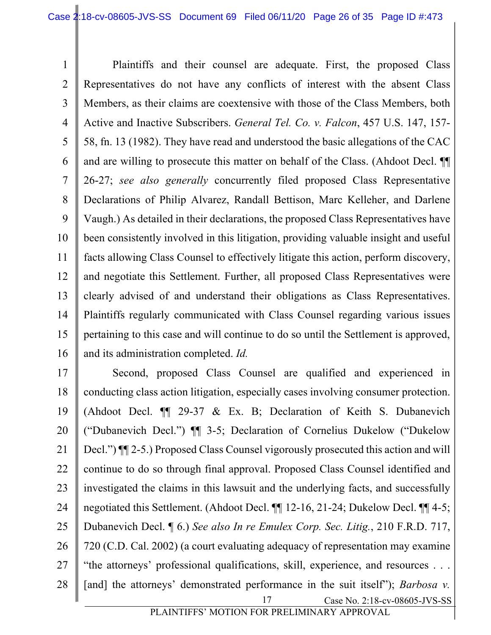1 2 3 4 5 6 7 8 9 10 11 12 13 14 15 16 Plaintiffs and their counsel are adequate. First, the proposed Class Representatives do not have any conflicts of interest with the absent Class Members, as their claims are coextensive with those of the Class Members, both Active and Inactive Subscribers. *General Tel. Co. v. Falcon*, 457 U.S. 147, 157- 58, fn. 13 (1982). They have read and understood the basic allegations of the CAC and are willing to prosecute this matter on behalf of the Class. (Ahdoot Decl. ¶¶ 26-27; *see also generally* concurrently filed proposed Class Representative Declarations of Philip Alvarez, Randall Bettison, Marc Kelleher, and Darlene Vaugh.) As detailed in their declarations, the proposed Class Representatives have been consistently involved in this litigation, providing valuable insight and useful facts allowing Class Counsel to effectively litigate this action, perform discovery, and negotiate this Settlement. Further, all proposed Class Representatives were clearly advised of and understand their obligations as Class Representatives. Plaintiffs regularly communicated with Class Counsel regarding various issues pertaining to this case and will continue to do so until the Settlement is approved, and its administration completed. *Id.*

Case No. 2:18-cv-08605-JVS-SS 17 18 19 20 21 22 23 24 25 26 27 28 17 Second, proposed Class Counsel are qualified and experienced in conducting class action litigation, especially cases involving consumer protection. (Ahdoot Decl. ¶¶ 29-37 & Ex. B; Declaration of Keith S. Dubanevich ("Dubanevich Decl.") ¶¶ 3-5; Declaration of Cornelius Dukelow ("Dukelow Decl.") ¶¶ 2-5.) Proposed Class Counsel vigorously prosecuted this action and will continue to do so through final approval. Proposed Class Counsel identified and investigated the claims in this lawsuit and the underlying facts, and successfully negotiated this Settlement. (Ahdoot Decl. ¶¶ 12-16, 21-24; Dukelow Decl. ¶¶ 4-5; Dubanevich Decl. ¶ 6.) *See also In re Emulex Corp. Sec. Litig.*, 210 F.R.D. 717, 720 (C.D. Cal. 2002) (a court evaluating adequacy of representation may examine "the attorneys' professional qualifications, skill, experience, and resources . . . [and] the attorneys' demonstrated performance in the suit itself"); *Barbosa v*.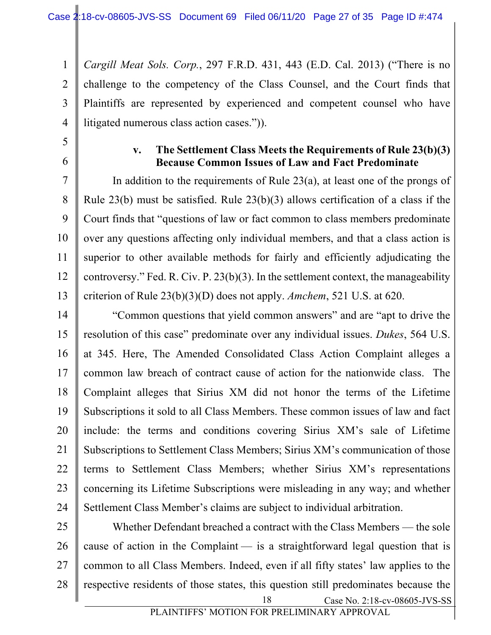1 2 3 4 *Cargill Meat Sols. Corp.*, 297 F.R.D. 431, 443 (E.D. Cal. 2013) ("There is no challenge to the competency of the Class Counsel, and the Court finds that Plaintiffs are represented by experienced and competent counsel who have litigated numerous class action cases.")).

5

6

7

8

9

11

#### **v. The Settlement Class Meets the Requirements of Rule 23(b)(3) Because Common Issues of Law and Fact Predominate**

10 12 13 In addition to the requirements of Rule 23(a), at least one of the prongs of Rule 23(b) must be satisfied. Rule 23(b)(3) allows certification of a class if the Court finds that "questions of law or fact common to class members predominate over any questions affecting only individual members, and that a class action is superior to other available methods for fairly and efficiently adjudicating the controversy." Fed. R. Civ. P. 23(b)(3). In the settlement context, the manageability criterion of Rule 23(b)(3)(D) does not apply. *Amchem*, 521 U.S. at 620.

14 15 16 17 18 19 20 21 22 23 24 "Common questions that yield common answers" and are "apt to drive the resolution of this case" predominate over any individual issues. *Dukes*, 564 U.S. at 345. Here, The Amended Consolidated Class Action Complaint alleges a common law breach of contract cause of action for the nationwide class. The Complaint alleges that Sirius XM did not honor the terms of the Lifetime Subscriptions it sold to all Class Members. These common issues of law and fact include: the terms and conditions covering Sirius XM's sale of Lifetime Subscriptions to Settlement Class Members; Sirius XM's communication of those terms to Settlement Class Members; whether Sirius XM's representations concerning its Lifetime Subscriptions were misleading in any way; and whether Settlement Class Member's claims are subject to individual arbitration.

Case No. 2:18-cv-08605-JVS-SS 25 26 27 28 18 Whether Defendant breached a contract with the Class Members — the sole cause of action in the Complaint — is a straightforward legal question that is common to all Class Members. Indeed, even if all fifty states' law applies to the respective residents of those states, this question still predominates because the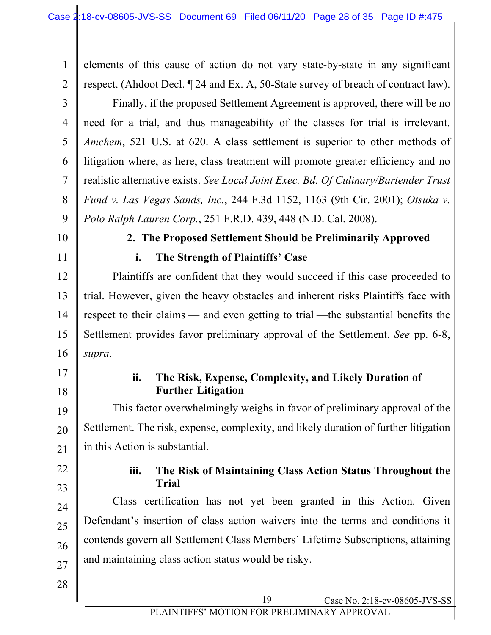1 2 3 4 5 6 7 8 9 10 11 12 13 elements of this cause of action do not vary state-by-state in any significant respect. (Ahdoot Decl. ¶ 24 and Ex. A, 50-State survey of breach of contract law). Finally, if the proposed Settlement Agreement is approved, there will be no need for a trial, and thus manageability of the classes for trial is irrelevant. *Amchem*, 521 U.S. at 620. A class settlement is superior to other methods of litigation where, as here, class treatment will promote greater efficiency and no realistic alternative exists. *See Local Joint Exec. Bd. Of Culinary/Bartender Trust Fund v. Las Vegas Sands, Inc.*, 244 F.3d 1152, 1163 (9th Cir. 2001); *Otsuka v. Polo Ralph Lauren Corp.*, 251 F.R.D. 439, 448 (N.D. Cal. 2008). **2. The Proposed Settlement Should be Preliminarily Approved i. The Strength of Plaintiffs' Case** Plaintiffs are confident that they would succeed if this case proceeded to trial. However, given the heavy obstacles and inherent risks Plaintiffs face with

14 15 16 respect to their claims — and even getting to trial —the substantial benefits the Settlement provides favor preliminary approval of the Settlement. *See* pp. 6-8, *supra*.

# 17 18

## **ii. The Risk, Expense, Complexity, and Likely Duration of Further Litigation**

19 20 21 This factor overwhelmingly weighs in favor of preliminary approval of the Settlement. The risk, expense, complexity, and likely duration of further litigation in this Action is substantial.

# 22

23

## **iii. The Risk of Maintaining Class Action Status Throughout the Trial**

24 25 26 27 Class certification has not yet been granted in this Action. Given Defendant's insertion of class action waivers into the terms and conditions it contends govern all Settlement Class Members' Lifetime Subscriptions, attaining and maintaining class action status would be risky.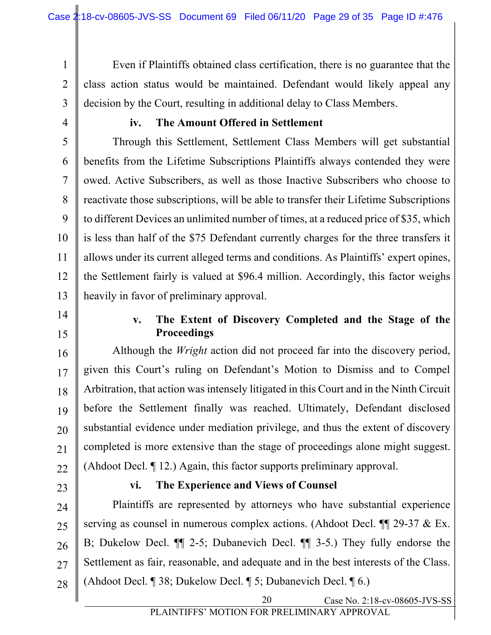1 2 3 Even if Plaintiffs obtained class certification, there is no guarantee that the class action status would be maintained. Defendant would likely appeal any decision by the Court, resulting in additional delay to Class Members.

4

#### **iv. The Amount Offered in Settlement**

5 6 7 8 9 10 11 12 13 Through this Settlement, Settlement Class Members will get substantial benefits from the Lifetime Subscriptions Plaintiffs always contended they were owed. Active Subscribers, as well as those Inactive Subscribers who choose to reactivate those subscriptions, will be able to transfer their Lifetime Subscriptions to different Devices an unlimited number of times, at a reduced price of \$35, which is less than half of the \$75 Defendant currently charges for the three transfers it allows under its current alleged terms and conditions. As Plaintiffs' expert opines, the Settlement fairly is valued at \$96.4 million. Accordingly, this factor weighs heavily in favor of preliminary approval.

14 15

### **v. The Extent of Discovery Completed and the Stage of the Proceedings**

16 17 18 19 20 21 22 Although the *Wright* action did not proceed far into the discovery period, given this Court's ruling on Defendant's Motion to Dismiss and to Compel Arbitration, that action was intensely litigated in this Court and in the Ninth Circuit before the Settlement finally was reached. Ultimately, Defendant disclosed substantial evidence under mediation privilege, and thus the extent of discovery completed is more extensive than the stage of proceedings alone might suggest. (Ahdoot Decl. ¶ 12.) Again, this factor supports preliminary approval.

23

#### **vi. The Experience and Views of Counsel**

24 25 26 27 28 Plaintiffs are represented by attorneys who have substantial experience serving as counsel in numerous complex actions. (Ahdoot Decl. ¶¶ 29-37 & Ex. B; Dukelow Decl. ¶¶ 2-5; Dubanevich Decl. ¶¶ 3-5.) They fully endorse the Settlement as fair, reasonable, and adequate and in the best interests of the Class. (Ahdoot Decl. ¶ 38; Dukelow Decl. ¶ 5; Dubanevich Decl. ¶ 6.)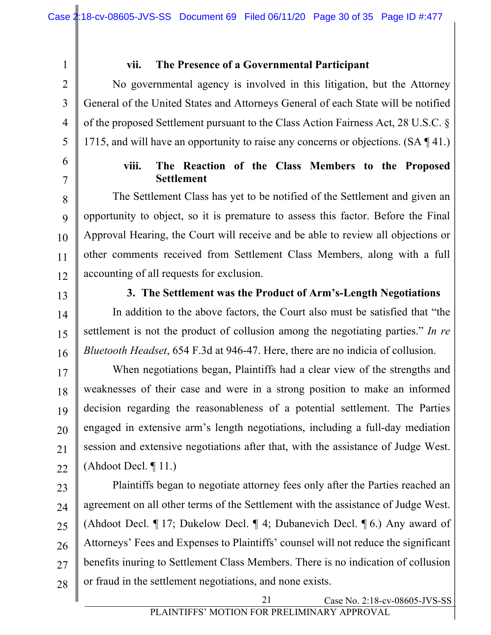3

4

5

1

## **vii. The Presence of a Governmental Participant**

No governmental agency is involved in this litigation, but the Attorney General of the United States and Attorneys General of each State will be notified of the proposed Settlement pursuant to the Class Action Fairness Act, 28 U.S.C. § 1715, and will have an opportunity to raise any concerns or objections. (SA ¶ 41.)

6

7

### **viii. The Reaction of the Class Members to the Proposed Settlement**

8 9 10 11 12 The Settlement Class has yet to be notified of the Settlement and given an opportunity to object, so it is premature to assess this factor. Before the Final Approval Hearing, the Court will receive and be able to review all objections or other comments received from Settlement Class Members, along with a full accounting of all requests for exclusion.

13

### **3. The Settlement was the Product of Arm's-Length Negotiations**

14 15 16 In addition to the above factors, the Court also must be satisfied that "the settlement is not the product of collusion among the negotiating parties." *In re Bluetooth Headset*, 654 F.3d at 946-47. Here, there are no indicia of collusion.

17 18 19 20 21 22 When negotiations began, Plaintiffs had a clear view of the strengths and weaknesses of their case and were in a strong position to make an informed decision regarding the reasonableness of a potential settlement. The Parties engaged in extensive arm's length negotiations, including a full-day mediation session and extensive negotiations after that, with the assistance of Judge West. (Ahdoot Decl. ¶ 11.)

23 24 25 26 27 28 Plaintiffs began to negotiate attorney fees only after the Parties reached an agreement on all other terms of the Settlement with the assistance of Judge West. (Ahdoot Decl. ¶ 17; Dukelow Decl. ¶ 4; Dubanevich Decl. ¶ 6.) Any award of Attorneys' Fees and Expenses to Plaintiffs' counsel will not reduce the significant benefits inuring to Settlement Class Members. There is no indication of collusion or fraud in the settlement negotiations, and none exists.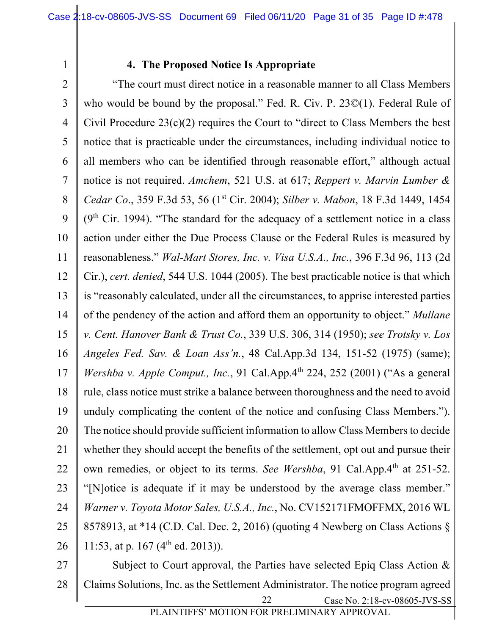# **4. The Proposed Notice Is Appropriate**

2 3 4 5 6 7 8 9 10 11 12 13 14 15 16 17 18 19 20 21 22 23 24 25 26 "The court must direct notice in a reasonable manner to all Class Members who would be bound by the proposal." Fed. R. Civ. P. 23©(1). Federal Rule of Civil Procedure  $23(c)(2)$  requires the Court to "direct to Class Members the best notice that is practicable under the circumstances, including individual notice to all members who can be identified through reasonable effort," although actual notice is not required. *Amchem*, 521 U.S. at 617; *Reppert v. Marvin Lumber & Cedar Co*., 359 F.3d 53, 56 (1st Cir. 2004); *Silber v. Mabon*, 18 F.3d 1449, 1454  $(9<sup>th</sup> Cir. 1994)$ . "The standard for the adequacy of a settlement notice in a class action under either the Due Process Clause or the Federal Rules is measured by reasonableness." *Wal-Mart Stores, Inc. v. Visa U.S.A., Inc.*, 396 F.3d 96, 113 (2d Cir.), *cert. denied*, 544 U.S. 1044 (2005). The best practicable notice is that which is "reasonably calculated, under all the circumstances, to apprise interested parties of the pendency of the action and afford them an opportunity to object." *Mullane v. Cent. Hanover Bank & Trust Co.*, 339 U.S. 306, 314 (1950); *see Trotsky v. Los Angeles Fed. Sav. & Loan Ass'n.*, 48 Cal.App.3d 134, 151-52 (1975) (same); *Wershba v. Apple Comput., Inc.*, 91 Cal.App.4<sup>th</sup> 224, 252 (2001) ("As a general rule, class notice must strike a balance between thoroughness and the need to avoid unduly complicating the content of the notice and confusing Class Members."). The notice should provide sufficient information to allow Class Members to decide whether they should accept the benefits of the settlement, opt out and pursue their own remedies, or object to its terms. *See Wershba*, 91 Cal.App.4<sup>th</sup> at 251-52. "[N]otice is adequate if it may be understood by the average class member." *Warner v. Toyota Motor Sales, U.S.A., Inc.*, No. CV152171FMOFFMX, 2016 WL 8578913, at \*14 (C.D. Cal. Dec. 2, 2016) (quoting 4 Newberg on Class Actions § 11:53, at p. 167 ( $4<sup>th</sup>$  ed. 2013)).

Case No. 2:18-cv-08605-JVS-SS 27 28 22 Subject to Court approval, the Parties have selected Epiq Class Action & Claims Solutions, Inc. as the Settlement Administrator. The notice program agreed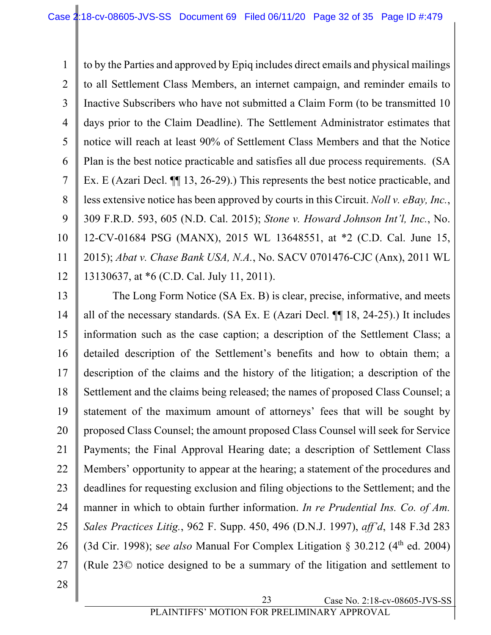1 2 3 4 5 6 7 8 9 10 11 12 to by the Parties and approved by Epiq includes direct emails and physical mailings to all Settlement Class Members, an internet campaign, and reminder emails to Inactive Subscribers who have not submitted a Claim Form (to be transmitted 10 days prior to the Claim Deadline). The Settlement Administrator estimates that notice will reach at least 90% of Settlement Class Members and that the Notice Plan is the best notice practicable and satisfies all due process requirements. (SA Ex. E (Azari Decl.  $\P$  13, 26-29).) This represents the best notice practicable, and less extensive notice has been approved by courts in this Circuit. *Noll v. eBay, Inc.*, 309 F.R.D. 593, 605 (N.D. Cal. 2015); *Stone v. Howard Johnson Int'l, Inc.*, No. 12-CV-01684 PSG (MANX), 2015 WL 13648551, at \*2 (C.D. Cal. June 15, 2015); *Abat v. Chase Bank USA, N.A.*, No. SACV 0701476-CJC (Anx), 2011 WL 13130637, at \*6 (C.D. Cal. July 11, 2011).

13 14 15 16 17 18 19 20 21 22 23 24 25 26 27 The Long Form Notice (SA Ex. B) is clear, precise, informative, and meets all of the necessary standards. (SA Ex. E (Azari Decl. ¶¶ 18, 24-25).) It includes information such as the case caption; a description of the Settlement Class; a detailed description of the Settlement's benefits and how to obtain them; a description of the claims and the history of the litigation; a description of the Settlement and the claims being released; the names of proposed Class Counsel; a statement of the maximum amount of attorneys' fees that will be sought by proposed Class Counsel; the amount proposed Class Counsel will seek for Service Payments; the Final Approval Hearing date; a description of Settlement Class Members' opportunity to appear at the hearing; a statement of the procedures and deadlines for requesting exclusion and filing objections to the Settlement; and the manner in which to obtain further information. *In re Prudential Ins. Co. of Am. Sales Practices Litig.*, 962 F. Supp. 450, 496 (D.N.J. 1997), *aff'd*, 148 F.3d 283 (3d Cir. 1998); see also Manual For Complex Litigation  $\S$  30.212 ( $4<sup>th</sup>$  ed. 2004) (Rule 23© notice designed to be a summary of the litigation and settlement to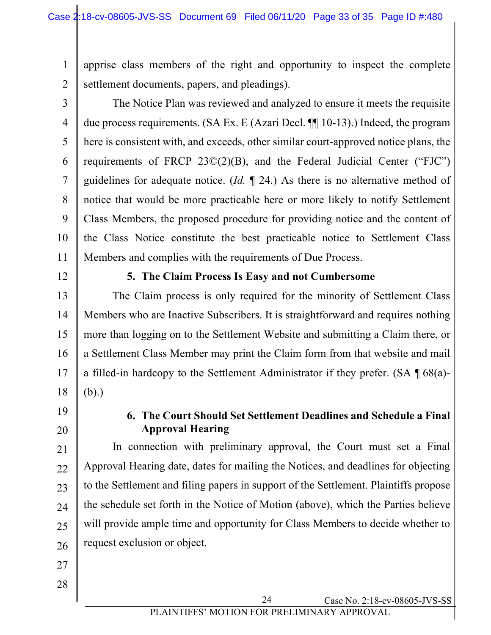1 2 apprise class members of the right and opportunity to inspect the complete settlement documents, papers, and pleadings).

3

4

5

6

7

8

9

10

11

The Notice Plan was reviewed and analyzed to ensure it meets the requisite due process requirements. (SA Ex. E (Azari Decl. ¶¶ 10-13).) Indeed, the program here is consistent with, and exceeds, other similar court-approved notice plans, the requirements of FRCP 23©(2)(B), and the Federal Judicial Center ("FJC") guidelines for adequate notice. (*Id.* ¶ 24.) As there is no alternative method of notice that would be more practicable here or more likely to notify Settlement Class Members, the proposed procedure for providing notice and the content of the Class Notice constitute the best practicable notice to Settlement Class Members and complies with the requirements of Due Process.

12

#### **5. The Claim Process Is Easy and not Cumbersome**

13 14 15 16 17 18 The Claim process is only required for the minority of Settlement Class Members who are Inactive Subscribers. It is straightforward and requires nothing more than logging on to the Settlement Website and submitting a Claim there, or a Settlement Class Member may print the Claim form from that website and mail a filled-in hardcopy to the Settlement Administrator if they prefer. (SA  $\P$  68(a)-(b).)

19

20

#### **6. The Court Should Set Settlement Deadlines and Schedule a Final Approval Hearing**

21 22 23 24 25 26 In connection with preliminary approval, the Court must set a Final Approval Hearing date, dates for mailing the Notices, and deadlines for objecting to the Settlement and filing papers in support of the Settlement. Plaintiffs propose the schedule set forth in the Notice of Motion (above), which the Parties believe will provide ample time and opportunity for Class Members to decide whether to request exclusion or object.

- 27
- 28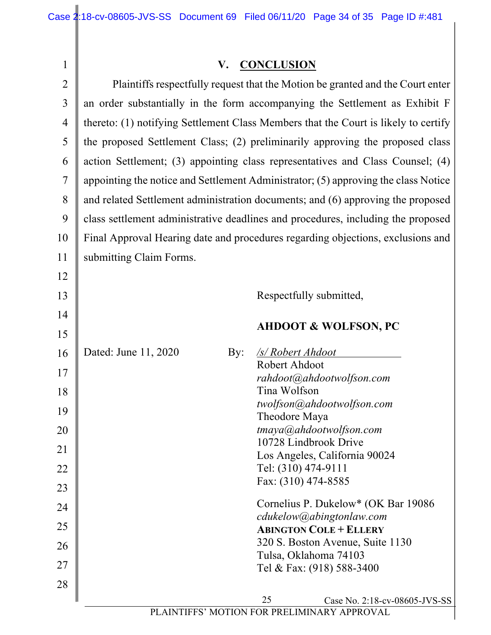| $\mathbf{1}$   | V. CONCLUSION                                                                       |
|----------------|-------------------------------------------------------------------------------------|
| $\overline{2}$ | Plaintiffs respectfully request that the Motion be granted and the Court enter      |
| 3              | an order substantially in the form accompanying the Settlement as Exhibit F         |
| $\overline{4}$ | thereto: (1) notifying Settlement Class Members that the Court is likely to certify |
| 5              | the proposed Settlement Class; (2) preliminarily approving the proposed class       |
| 6              | action Settlement; (3) appointing class representatives and Class Counsel; (4)      |
| $\tau$         | appointing the notice and Settlement Administrator; (5) approving the class Notice  |
| 8              | and related Settlement administration documents; and (6) approving the proposed     |
| 9              | class settlement administrative deadlines and procedures, including the proposed    |
| 10             | Final Approval Hearing date and procedures regarding objections, exclusions and     |
| 11             | submitting Claim Forms.                                                             |
|                |                                                                                     |
| 12             |                                                                                     |
| 13             | Respectfully submitted,                                                             |
| 14             | <b>AHDOOT &amp; WOLFSON, PC</b>                                                     |
| 15             |                                                                                     |
| 16             | Dated: June 11, 2020<br><u>/s/ Robert Ahdoot</u><br>By:<br>Robert Ahdoot            |
| 17             | rahdoot@ahdootwolfson.com                                                           |
| 18             | Tina Wolfson                                                                        |
| 19             | twolfson@ahdootwolfson.com<br>Theodore Maya                                         |
| 20             | tmaya@ahdootwolfson.com                                                             |
| 21             | 10728 Lindbrook Drive                                                               |
| 22             | Los Angeles, California 90024<br>Tel: (310) 474-9111                                |
| 23             | Fax: (310) 474-8585                                                                 |
| 24             | Cornelius P. Dukelow* (OK Bar 19086)                                                |
|                | cdukelow@abingtonlaw.com                                                            |
| 25             | <b>ABINGTON COLE + ELLERY</b><br>320 S. Boston Avenue, Suite 1130                   |
| 26             | Tulsa, Oklahoma 74103                                                               |
| 27             | Tel & Fax: (918) 588-3400                                                           |
| 28             |                                                                                     |
|                | 25<br>Case No. 2:18-cv-08605-JVS-SS<br>IOTION I <b>LOD DTI</b>                      |